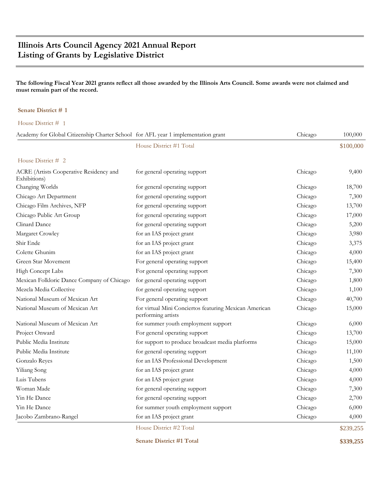# **Illinois Arts Council Agency 2021 Annual Report Listing of Grants by Legislative District**

### **The following Fiscal Year 2021 grants reflect all those awarded by the Illinois Arts Council. Some awards were not claimed and must remain part of the record.**

### **Senate District # 1**

House District # 1

| Academy for Global Citizenship Charter School for AFL year 1 implementation grant |                                                                              | Chicago | 100,000   |
|-----------------------------------------------------------------------------------|------------------------------------------------------------------------------|---------|-----------|
|                                                                                   | House District #1 Total                                                      |         | \$100,000 |
| House District $#2$                                                               |                                                                              |         |           |
| ACRE (Artists Cooperative Residency and<br>Exhibitions)                           | for general operating support                                                | Chicago | 9,400     |
| Changing Worlds                                                                   | for general operating support                                                | Chicago | 18,700    |
| Chicago Art Department                                                            | for general operating support                                                | Chicago | 7,300     |
| Chicago Film Archives, NFP                                                        | for general operating support                                                | Chicago | 13,700    |
| Chicago Public Art Group                                                          | for general operating support                                                | Chicago | 17,000    |
| Clinard Dance                                                                     | for general operating support                                                | Chicago | 5,200     |
| Margaret Crowley                                                                  | for an IAS project grant                                                     | Chicago | 3,980     |
| Shir Ende                                                                         | for an IAS project grant                                                     | Chicago | 3,375     |
| Colette Ghunim                                                                    | for an IAS project grant                                                     | Chicago | 4,000     |
| Green Star Movement                                                               | For general operating support                                                | Chicago | 15,400    |
| High Concept Labs                                                                 | For general operating support                                                | Chicago | 7,300     |
| Mexican Folkloric Dance Company of Chicago                                        | for general operating support                                                | Chicago | 1,800     |
| Mezcla Media Collective                                                           | for general operating support                                                | Chicago | 1,100     |
| National Museum of Mexican Art                                                    | For general operating support                                                | Chicago | 40,700    |
| National Museum of Mexican Art                                                    | for virtual Mini Conciertos featuring Mexican American<br>performing artists | Chicago | 15,000    |
| National Museum of Mexican Art                                                    | for summer youth employment support                                          | Chicago | 6,000     |
| Project Onward                                                                    | For general operating support                                                | Chicago | 13,700    |
| Public Media Institute                                                            | for support to produce broadcast media platforms                             | Chicago | 15,000    |
| Public Media Institute                                                            | for general operating support                                                | Chicago | 11,100    |
| Gonzalo Reyes                                                                     | for an IAS Professional Development                                          | Chicago | 1,500     |
| Yiliang Song                                                                      | for an IAS project grant                                                     | Chicago | 4,000     |
| Luis Tubens                                                                       | for an IAS project grant                                                     | Chicago | 4,000     |
| Woman Made                                                                        | for general operating support                                                | Chicago | 7,300     |
| Yin He Dance                                                                      | for general operating support                                                | Chicago | 2,700     |
| Yin He Dance                                                                      | for summer youth employment support                                          | Chicago | 6,000     |
| Jacobo Zambrano-Rangel                                                            | for an IAS project grant                                                     | Chicago | 4,000     |
|                                                                                   | House District #2 Total                                                      |         | \$239,255 |

**Senate District #1 Total \$339,255**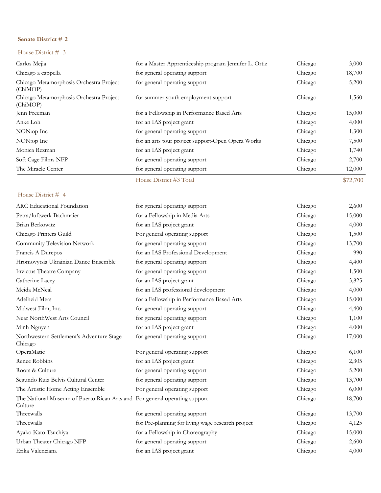### House District # 3

| Carlos Mejia                                        | for a Master Apprenticeship program Jennifer L. Ortiz | Chicago | 3,000    |
|-----------------------------------------------------|-------------------------------------------------------|---------|----------|
| Chicago a cappella                                  | for general operating support                         | Chicago | 18,700   |
| Chicago Metamorphosis Orchestra Project<br>(ChiMOP) | for general operating support                         | Chicago | 5,200    |
| Chicago Metamorphosis Orchestra Project<br>(ChiMOP) | for summer youth employment support                   | Chicago | 1,560    |
| Jenn Freeman                                        | for a Fellowship in Performance Based Arts            | Chicago | 15,000   |
| Anke Loh                                            | for an IAS project grant                              | Chicago | 4,000    |
| NON:op Inc                                          | for general operating support                         | Chicago | 1,300    |
| NON:op Inc                                          | for an arts tour project support-Open Opera Works     | Chicago | 7,500    |
| Monica Rezman                                       | for an IAS project grant                              | Chicago | 1,740    |
| Soft Cage Films NFP                                 | for general operating support                         | Chicago | 2,700    |
| The Miracle Center                                  | for general operating support                         | Chicago | 12,000   |
|                                                     | House District #3 Total                               |         | \$72,700 |

| for general operating support                     | Chicago                                                                    | 2,600  |
|---------------------------------------------------|----------------------------------------------------------------------------|--------|
| for a Fellowship in Media Arts                    | Chicago                                                                    | 15,000 |
| for an IAS project grant                          | Chicago                                                                    | 4,000  |
| For general operating support                     | Chicago                                                                    | 1,500  |
| for general operating support                     | Chicago                                                                    | 13,700 |
| for an IAS Professional Development               | Chicago                                                                    | 990    |
| for general operating support                     | Chicago                                                                    | 4,400  |
| for general operating support                     | Chicago                                                                    | 1,500  |
| for an IAS project grant                          | Chicago                                                                    | 3,825  |
| for an IAS professional development               | Chicago                                                                    | 4,000  |
| for a Fellowship in Performance Based Arts        | Chicago                                                                    | 15,000 |
| for general operating support                     | Chicago                                                                    | 4,400  |
| for general operating support                     | Chicago                                                                    | 1,100  |
| for an IAS project grant                          | Chicago                                                                    | 4,000  |
| for general operating support                     | Chicago                                                                    | 17,000 |
| For general operating support                     | Chicago                                                                    | 6,100  |
| for an IAS project grant                          | Chicago                                                                    | 2,305  |
| for general operating support                     | Chicago                                                                    | 5,200  |
| for general operating support                     | Chicago                                                                    | 13,700 |
| For general operating support                     | Chicago                                                                    | 6,000  |
|                                                   | Chicago                                                                    | 18,700 |
| for general operating support                     | Chicago                                                                    | 13,700 |
| for Pre-planning for living wage research project | Chicago                                                                    | 4,125  |
| for a Fellowship in Choreography                  | Chicago                                                                    | 15,000 |
| for general operating support                     | Chicago                                                                    | 2,600  |
| for an IAS project grant                          | Chicago                                                                    | 4,000  |
|                                                   | The National Museum of Puerto Rican Arts and For general operating support |        |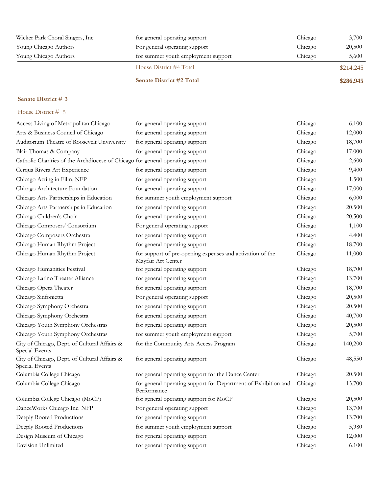| Wicker Park Choral Singers, Inc. | for general operating support       | Chicago | 3,700     |
|----------------------------------|-------------------------------------|---------|-----------|
| Young Chicago Authors            | For general operating support       | Chicago | 20,500    |
| Young Chicago Authors            | for summer youth employment support | Chicago | 5,600     |
|                                  | House District #4 Total             |         | \$214,245 |
|                                  | <b>Senate District #2 Total</b>     |         | \$286,945 |

| Access Living of Metropolitan Chicago                                          | for general operating support                                                   | Chicago | 6,100   |
|--------------------------------------------------------------------------------|---------------------------------------------------------------------------------|---------|---------|
| Arts & Business Council of Chicago                                             | for general operating support                                                   | Chicago | 12,000  |
| Auditorium Theatre of Roosevelt Unviversity                                    | for general operating support                                                   | Chicago | 18,700  |
| Blair Thomas & Company                                                         | for general operating support                                                   | Chicago | 17,000  |
| Catholic Charities of the Archdiocese of Chicago for general operating support |                                                                                 | Chicago | 2,600   |
| Cerqua Rivera Art Experience                                                   | for general operating support                                                   | Chicago | 9,400   |
| Chicago Acting in Film, NFP                                                    | for general operating support                                                   | Chicago | 1,500   |
| Chicago Architecture Foundation                                                | for general operating support                                                   | Chicago | 17,000  |
| Chicago Arts Partnerships in Education                                         | for summer youth employment support                                             | Chicago | 6,000   |
| Chicago Arts Partnerships in Education                                         | for general operating support                                                   | Chicago | 20,500  |
| Chicago Children's Choir                                                       | for general operating support                                                   | Chicago | 20,500  |
| Chicago Composers' Consortium                                                  | For general operating support                                                   | Chicago | 1,100   |
| Chicago Composers Orchestra                                                    | for general operating support                                                   | Chicago | 4,400   |
| Chicago Human Rhythm Project                                                   | for general operating support                                                   | Chicago | 18,700  |
| Chicago Human Rhythm Project                                                   | for support of pre-opening expenses and activation of the<br>Mayfair Art Center | Chicago | 11,000  |
| Chicago Humanities Festival                                                    | for general operating support                                                   | Chicago | 18,700  |
| Chicago Latino Theater Alliance                                                | for general operating support                                                   | Chicago | 13,700  |
| Chicago Opera Theater                                                          | for general operating support                                                   | Chicago | 18,700  |
| Chicago Sinfonietta                                                            | For general operating support                                                   | Chicago | 20,500  |
| Chicago Symphony Orchestra                                                     | for general operating support                                                   | Chicago | 20,500  |
| Chicago Symphony Orchestra                                                     | for general operating support                                                   | Chicago | 40,700  |
| Chicago Youth Symphony Orchestras                                              | for general operating support                                                   | Chicago | 20,500  |
| Chicago Youth Symphony Orchestras                                              | for summer youth employment support                                             | Chicago | 5,700   |
| City of Chicago, Dept. of Cultural Affairs &<br>Special Events                 | for the Community Arts Access Program                                           | Chicago | 140,200 |
| City of Chicago, Dept. of Cultural Affairs &<br>Special Events                 | for general operating support                                                   | Chicago | 48,550  |
| Columbia College Chicago                                                       | for general operating support for the Dance Center                              | Chicago | 20,500  |
| Columbia College Chicago                                                       | for general operating support for Department of Exhibition and<br>Performance   | Chicago | 13,700  |
| Columbia College Chicago (MoCP)                                                | for general operating support for MoCP                                          | Chicago | 20,500  |
| DanceWorks Chicago Inc. NFP                                                    | For general operating support                                                   | Chicago | 13,700  |
| Deeply Rooted Productions                                                      | for general operating support                                                   | Chicago | 13,700  |
| Deeply Rooted Productions                                                      | for summer youth employment support                                             | Chicago | 5,980   |
| Design Museum of Chicago                                                       | for general operating support                                                   | Chicago | 12,000  |
| <b>Envision Unlimited</b>                                                      | for general operating support                                                   | Chicago | 6,100   |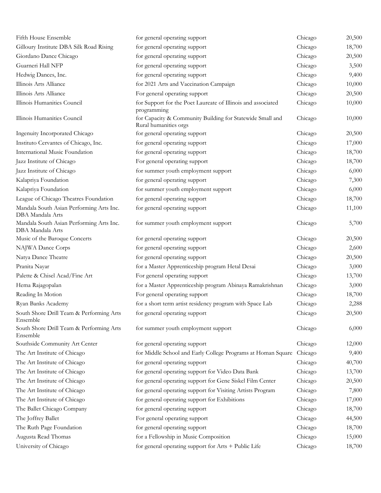| Fifth House Ensemble                                         | for general operating support                                                      | Chicago | 20,500 |
|--------------------------------------------------------------|------------------------------------------------------------------------------------|---------|--------|
| Gilloury Institute DBA Silk Road Rising                      | for general operating support                                                      | Chicago | 18,700 |
| Giordano Dance Chicago                                       | for general operating support                                                      | Chicago | 20,500 |
| Guarneri Hall NFP                                            | for general operating support                                                      | Chicago | 3,500  |
| Hedwig Dances, Inc.                                          | for general operating support                                                      | Chicago | 9,400  |
| Illinois Arts Alliance                                       | for 2021 Arts and Vaccination Campaign                                             | Chicago | 10,000 |
| Illinois Arts Alliance                                       | For general operating support                                                      | Chicago | 20,500 |
| Illinois Humanities Council                                  | for Support for the Poet Laureate of Illinois and associated<br>programming        | Chicago | 10,000 |
| Illinois Humanities Council                                  | for Capacity & Community Building for Statewide Small and<br>Rural humanities orgs | Chicago | 10,000 |
| Ingenuity Incorporated Chicago                               | for general operating support                                                      | Chicago | 20,500 |
| Instituto Cervantes of Chicago, Inc.                         | for general operating support                                                      | Chicago | 17,000 |
| International Music Foundation                               | for general operating support                                                      | Chicago | 18,700 |
| Jazz Institute of Chicago                                    | For general operating support                                                      | Chicago | 18,700 |
| Jazz Institute of Chicago                                    | for summer youth employment support                                                | Chicago | 6,000  |
| Kalapriya Foundation                                         | for general operating support                                                      | Chicago | 7,300  |
| Kalapriya Foundation                                         | for summer youth employment support                                                | Chicago | 6,000  |
| League of Chicago Theatres Foundation                        | for general operating support                                                      | Chicago | 18,700 |
| Mandala South Asian Performing Arts Inc.<br>DBA Mandala Arts | for general operating support                                                      | Chicago | 11,100 |
| Mandala South Asian Performing Arts Inc.<br>DBA Mandala Arts | for summer youth employment support                                                | Chicago | 5,700  |
| Music of the Baroque Concerts                                | for general operating support                                                      | Chicago | 20,500 |
| NAJWA Dance Corps                                            | for general operating support                                                      | Chicago | 2,600  |
| Natya Dance Theatre                                          | for general operating support                                                      | Chicago | 20,500 |
| Pranita Nayar                                                | for a Master Apprenticeship program Hetal Desai                                    | Chicago | 3,000  |
| Palette & Chisel Acad/Fine Art                               | For general operating support                                                      | Chicago | 13,700 |
| Hema Rajagopalan                                             | for a Master Apprenticeship program Abinaya Ramakrishnan                           | Chicago | 3,000  |
| Reading In Motion                                            | For general operating support                                                      | Chicago | 18,700 |
| Ryan Banks Academy                                           | for a short term artist residency program with Space Lab                           | Chicago | 2,288  |
| South Shore Drill Team & Performing Arts<br>Ensemble         | for general operating support                                                      | Chicago | 20,500 |
| South Shore Drill Team & Performing Arts<br>Ensemble         | for summer youth employment support                                                | Chicago | 6,000  |
| Southside Community Art Center                               | for general operating support                                                      | Chicago | 12,000 |
| The Art Institute of Chicago                                 | for Middle School and Early College Programs at Homan Square                       | Chicago | 9,400  |
| The Art Institute of Chicago                                 | for general operating support                                                      | Chicago | 40,700 |
| The Art Institute of Chicago                                 | for general operating support for Video Data Bank                                  | Chicago | 13,700 |
| The Art Institute of Chicago                                 | for general operating support for Gene Siskel Film Center                          | Chicago | 20,500 |
| The Art Institute of Chicago                                 | for general operating support for Visiting Artists Program                         | Chicago | 7,800  |
| The Art Institute of Chicago                                 | for general operating support for Exhibitions                                      | Chicago | 17,000 |
| The Ballet Chicago Company                                   | for general operating support                                                      | Chicago | 18,700 |
| The Joffrey Ballet                                           | For general operating support                                                      | Chicago | 44,500 |
| The Ruth Page Foundation                                     | for general operating support                                                      | Chicago | 18,700 |
| Augusta Read Thomas                                          | for a Fellowship in Music Composition                                              | Chicago | 15,000 |
| University of Chicago                                        | for general operating support for Arts + Public Life                               | Chicago | 18,700 |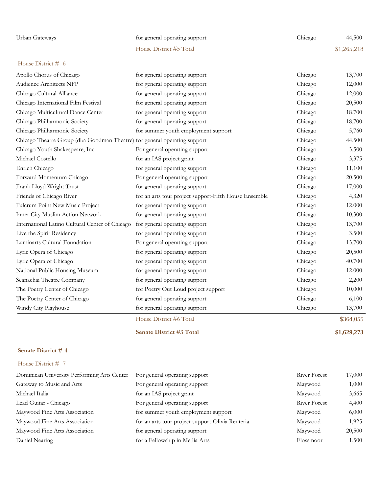| Urban Gateways                                                            | for general operating support                         | Chicago             | 44,500      |
|---------------------------------------------------------------------------|-------------------------------------------------------|---------------------|-------------|
|                                                                           | House District #5 Total                               |                     | \$1,265,218 |
| House District $# 6$                                                      |                                                       |                     |             |
| Apollo Chorus of Chicago                                                  | for general operating support                         | Chicago             | 13,700      |
| <b>Audience Architects NFP</b>                                            | for general operating support                         | Chicago             | 12,000      |
| Chicago Cultural Alliance                                                 | for general operating support                         | Chicago             | 12,000      |
| Chicago International Film Festival                                       | for general operating support                         | Chicago             | 20,500      |
| Chicago Multicultural Dance Center                                        | for general operating support                         | Chicago             | 18,700      |
| Chicago Philharmonic Society                                              | for general operating support                         | Chicago             | 18,700      |
| Chicago Philharmonic Society                                              | for summer youth employment support                   | Chicago             | 5,760       |
| Chicago Theatre Group (dba Goodman Theatre) for general operating support |                                                       | Chicago             | 44,500      |
| Chicago Youth Shakespeare, Inc.                                           | For general operating support                         | Chicago             | 3,500       |
| Michael Costello                                                          | for an IAS project grant                              | Chicago             | 3,375       |
| Enrich Chicago                                                            | for general operating support                         | Chicago             | 11,100      |
| Forward Momentum Chicago                                                  | For general operating support                         | Chicago             | 20,500      |
| Frank Lloyd Wright Trust                                                  | for general operating support                         | Chicago             | 17,000      |
| Friends of Chicago River                                                  | for an arts tour project support-Fifth House Ensemble | Chicago             | 4,320       |
| Fulcrum Point New Music Project                                           | for general operating support                         | Chicago             | 12,000      |
| Inner City Muslim Action Network                                          | for general operating support                         | Chicago             | 10,300      |
| International Latino Cultural Center of Chicago                           | for general operating support                         | Chicago             | 13,700      |
| Live the Spirit Residency                                                 | for general operating support                         | Chicago             | 3,500       |
| Luminarts Cultural Foundation                                             | For general operating support                         | Chicago             | 13,700      |
| Lyric Opera of Chicago                                                    | for general operating support                         | Chicago             | 20,500      |
| Lyric Opera of Chicago                                                    | for general operating support                         | Chicago             | 40,700      |
| National Public Housing Museum                                            | for general operating support                         | Chicago             | 12,000      |
| Seanachai Theatre Company                                                 | for general operating support                         | Chicago             | 2,200       |
| The Poetry Center of Chicago                                              | for Poetry Out Loud project support                   | Chicago             | 10,000      |
| The Poetry Center of Chicago                                              | for general operating support                         | Chicago             | 6,100       |
| Windy City Playhouse                                                      | for general operating support                         | Chicago             | 13,700      |
|                                                                           | House District #6 Total                               |                     | \$364,055   |
|                                                                           | <b>Senate District #3 Total</b>                       |                     | \$1,629,273 |
| Senate District #4                                                        |                                                       |                     |             |
| House District # 7                                                        |                                                       |                     |             |
| Dominican University Performing Arts Center                               | For general operating support                         | <b>River Forest</b> | 17,000      |
| Gateway to Music and Arts                                                 | For general operating support                         | Maywood             | 1,000       |
| Michael Italia                                                            | for an IAS project grant                              | Maywood             | 3,665       |
| Lead Guitar - Chicago                                                     | For general operating support                         | River Forest        | 4,400       |
| Maywood Fine Arts Association                                             | for summer youth employment support                   | Maywood             | 6,000       |
| Maywood Fine Arts Association                                             | for an arts tour project support-Olivia Renteria      | Maywood             | 1,925       |
| Maywood Fine Arts Association                                             | for general operating support                         | Maywood             | 20,500      |
| Daniel Nearing                                                            | for a Fellowship in Media Arts                        | Flossmoor           | 1,500       |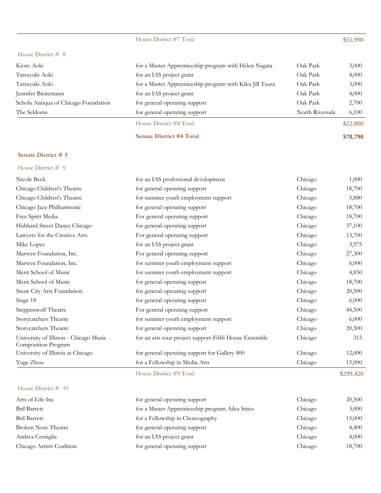# House District #7 Total \$55,990

### House District # 8

| Kioto Aoki                           | for a Master Apprenticeship program with Helen Nagata    | Oak Park        | 3,000    |
|--------------------------------------|----------------------------------------------------------|-----------------|----------|
| Tatsuyuki Aoki                       | for an IAS project grant                                 | Oak Park        | 4,000    |
| Tatsuyuki Aoki                       | for a Master Apprenticeship program with Kiku Jill Taura | Oak Park        | 3,000    |
| Jennifer Bienemann                   | for an IAS project grant                                 | Oak Park        | 4,000    |
| Schola Antiqua of Chicago Foundation | for general operating support                            | Oak Park        | 2,700    |
| The Seldoms                          | for general operating support                            | North Riverside | 6,100    |
|                                      | House District #8 Total                                  |                 | \$22,800 |

**Senate District #4 Total \$78,790**

### **Senate District # 5**

| House District # 9                                            |                                                       |         |        |
|---------------------------------------------------------------|-------------------------------------------------------|---------|--------|
| Nicole Beck                                                   | for an IAS professional development                   | Chicago | 1,000  |
| Chicago Children's Theatre                                    | for general operating support                         | Chicago | 18,700 |
| Chicago Children's Theatre                                    | for summer youth employment support                   | Chicago | 5,880  |
| Chicago Jazz Philharmonic                                     | for general operating support                         | Chicago | 18,700 |
| Free Spirit Media                                             | For general operating support                         | Chicago | 18,700 |
| Hubbard Street Dance Chicago                                  | for general operating support                         | Chicago | 37,100 |
| Lawyers for the Creative Arts                                 | For general operating support                         | Chicago | 13,700 |
| Mike Lopez                                                    | for an IAS project grant                              | Chicago | 3,975  |
| Marwen Foundation, Inc.                                       | For general operating support                         | Chicago | 27,300 |
| Marwen Foundation, Inc.                                       | for summer youth employment support                   | Chicago | 6,000  |
| Merit School of Music                                         | for summer youth employment support                   | Chicago | 4,850  |
| Merit School of Music                                         | for general operating support                         | Chicago | 18,700 |
| Snow City Arts Foundation                                     | for general operating support                         | Chicago | 20,500 |
| Stage 18                                                      | for general operating support                         | Chicago | 6,000  |
| Steppenwolf Theatre                                           | For general operating support                         | Chicago | 44,500 |
| Storycatchers Theatre                                         | for summer youth employment support                   | Chicago | 6,000  |
| Storycatchers Theatre                                         | for general operating support                         | Chicago | 20,500 |
| University of Illinois - Chicago Music<br>Composition Program | for an arts tour project support-Fifth House Ensemble | Chicago | 315    |
| University of Illinois at Chicago                             | for general operating support for Gallery 400         | Chicago | 12,000 |
| Yuge Zhou                                                     | for a Fellowship in Media Arts                        | Chicago | 15,000 |

### House District #9 Total \$299,420

| House District $# 10$ |  |
|-----------------------|--|
|-----------------------|--|

| Arts of Life Inc           | for general operating support                    | Chicago | 20,500 |
|----------------------------|--------------------------------------------------|---------|--------|
| <b>Bril Barrett</b>        | for a Master Apprenticeship program Ailea Stites | Chicago | 3,000  |
| <b>Bril Barrett</b>        | for a Fellowship in Choreography                 | Chicago | 15,000 |
| <b>Broken Nose Theatre</b> | for general operating support                    | Chicago | 4,400  |
| Andrea Cerniglia           | for an IAS project grant                         | Chicago | 4,000  |
| Chicago Artists Coalition  | for general operating support                    | Chicago | 18,700 |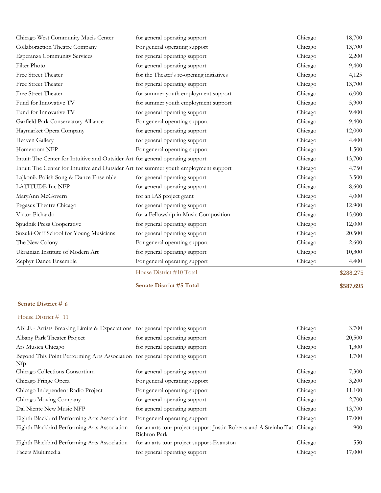| Chicago West Community Mucis Center                                                   | for general operating support            | Chicago | 18,700    |
|---------------------------------------------------------------------------------------|------------------------------------------|---------|-----------|
| Collaboraction Theatre Company                                                        | For general operating support            | Chicago | 13,700    |
| <b>Esperanza Community Services</b>                                                   | for general operating support            | Chicago | 2,200     |
| Filter Photo                                                                          | for general operating support            | Chicago | 9,400     |
| Free Street Theater                                                                   | for the Theater's re-opening initiatives | Chicago | 4,125     |
| Free Street Theater                                                                   | for general operating support            | Chicago | 13,700    |
| Free Street Theater                                                                   | for summer youth employment support      | Chicago | 6,000     |
| Fund for Innovative TV                                                                | for summer youth employment support      | Chicago | 5,900     |
| Fund for Innovative TV                                                                | for general operating support            | Chicago | 9,400     |
| Garfield Park Conservatory Alliance                                                   | For general operating support            | Chicago | 9,400     |
| Haymarket Opera Company                                                               | for general operating support            | Chicago | 12,000    |
| Heaven Gallery                                                                        | for general operating support            | Chicago | 4,400     |
| Homeroom NFP                                                                          | For general operating support            | Chicago | 1,500     |
| Intuit: The Center for Intuitive and Outsider Art for general operating support       |                                          | Chicago | 13,700    |
| Intuit: The Center for Intuitive and Outsider Art for summer youth employment support |                                          | Chicago | 4,750     |
| Lajkonik Polish Song & Dance Ensemble                                                 | for general operating support            | Chicago | 3,500     |
| <b>LATITUDE Inc NFP</b>                                                               | for general operating support            | Chicago | 8,600     |
| MaryAnn McGovern                                                                      | for an IAS project grant                 | Chicago | 4,000     |
| Pegasus Theatre Chicago                                                               | for general operating support            | Chicago | 12,900    |
| Victor Pichardo                                                                       | for a Fellowship in Music Composition    | Chicago | 15,000    |
| Spudnik Press Cooperative                                                             | for general operating support            | Chicago | 12,000    |
| Suzuki-Orff School for Young Musicians                                                | for general operating support            | Chicago | 20,500    |
| The New Colony                                                                        | For general operating support            | Chicago | 2,600     |
| Ukrainian Institute of Modern Art                                                     | for general operating support            | Chicago | 10,300    |
| Zephyr Dance Ensemble                                                                 | For general operating support            | Chicago | 4,400     |
|                                                                                       | House District #10 Total                 |         | \$288,275 |
|                                                                                       | <b>Senate District #5 Total</b>          |         | \$587,695 |
| Senate District # 6                                                                   |                                          |         |           |
| House District # 11                                                                   |                                          |         |           |
| ABLE - Artists Breaking Limits & Expectations for general operating support           |                                          | Chicago | 3,700     |
| Albany Park Theater Project                                                           | for general operating support            | Chicago | 20,500    |
| Ars Musica Chicago                                                                    | for general operating support            | Chicago | 1,300     |
| Beyond This Point Performing Arts Association for general operating support<br>Nfp    |                                          | Chicago | 1,700     |
| Chicago Collections Consortium                                                        | for general operating support            | Chicago | 7,300     |
| Chicago Fringe Opera                                                                  | For general operating support            | Chicago | 3,200     |
| Chicago Independent Radio Project                                                     | For general operating support            | Chicago | 11,100    |
| Chicago Moving Company                                                                | for general operating support            | Chicago | 2,700     |
| Dal Niente New Music NFP                                                              | for general operating support            | Chicago | 13,700    |

Richton Park

Eighth Blackbird Performing Arts Association For general operating support Chicago 17,000 Eighth Blackbird Performing Arts Association for an arts tour project support-Justin Roberts and A Steinhoff at Chicago 900

Eighth Blackbird Performing Arts Association for an arts tour project support-Evanston Chicago 550 Facets Multimedia for general operating support Chicago 17,000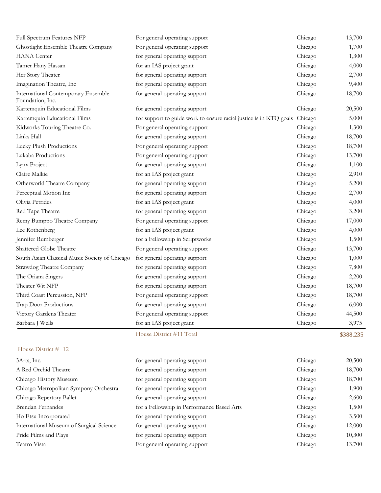| Third Coast Percussion, NFP<br>Trap Door Productions           | For general operating support<br>for general operating support     | Chicago<br>Chicago | 18,700<br>6,000 |
|----------------------------------------------------------------|--------------------------------------------------------------------|--------------------|-----------------|
| Theater Wit NFP                                                | for general operating support                                      | Chicago            | 18,700          |
| The Oriana Singers                                             | for general operating support                                      | Chicago            | 2,200           |
| Strawdog Theatre Company                                       | for general operating support                                      | Chicago            | 7,800           |
| South Asian Classical Music Society of Chicago                 | for general operating support                                      | Chicago            | 1,000           |
| Shattered Globe Theatre                                        | For general operating support                                      | Chicago            | 13,700          |
| Jennifer Rumberger                                             | for a Fellowship in Scriptworks                                    | Chicago            | 1,500           |
| Lee Rothenberg                                                 | for an IAS project grant                                           | Chicago            | 4,000           |
| Remy Bumppo Theatre Company                                    | For general operating support                                      | Chicago            | 17,000          |
| Red Tape Theatre                                               | for general operating support                                      | Chicago            | 3,200           |
| Olivia Petrides                                                | for an IAS project grant                                           | Chicago            | 4,000           |
| Perceptual Motion Inc                                          | for general operating support                                      | Chicago            | 2,700           |
| Otherworld Theatre Company                                     | for general operating support                                      | Chicago            | 5,200           |
| Claire Malkie                                                  | for an IAS project grant                                           | Chicago            | 2,910           |
| Lynx Project                                                   | for general operating support                                      | Chicago            | 1,100           |
| Lukaba Productions                                             | For general operating support                                      | Chicago            | 13,700          |
| Lucky Plush Productions                                        | For general operating support                                      | Chicago            | 18,700          |
| Links Hall                                                     | for general operating support                                      | Chicago            | 18,700          |
| Kidworks Touring Theatre Co.                                   | For general operating support                                      | Chicago            | 1,300           |
| Kartemquin Educational Films                                   | for support to guide work to ensure racial justice is in KTQ goals | Chicago            | 5,000           |
| Kartemquin Educational Films                                   | for general operating support                                      | Chicago            | 20,500          |
| <b>International Contemporary Ensemble</b><br>Foundation, Inc. | for general operating support                                      | Chicago            | 18,700          |
| Imagination Theatre, Inc                                       | for general operating support                                      | Chicago            | 9,400           |
| Her Story Theater                                              | for general operating support                                      | Chicago            | 2,700           |
| Tamer Hany Hassan                                              | for an IAS project grant                                           | Chicago            | 4,000           |
| <b>HANA</b> Center                                             | for general operating support                                      | Chicago            | 1,300           |
| Ghostlight Ensemble Theatre Company                            | For general operating support                                      | Chicago            | 1,700           |
| Full Spectrum Features NFP                                     | For general operating support                                      | Chicago            | 13,700          |

| 3Arts, Inc.                              | for general operating support              | Chicago | 20,500 |
|------------------------------------------|--------------------------------------------|---------|--------|
| A Red Orchid Theatre                     | for general operating support              | Chicago | 18,700 |
| Chicago History Museum                   | for general operating support              | Chicago | 18,700 |
| Chicago Metropolitan Sympony Orchestra   | for general operating support              | Chicago | 1,900  |
| Chicago Repertory Ballet                 | for general operating support              | Chicago | 2,600  |
| Brendan Fernandes                        | for a Fellowship in Performance Based Arts | Chicago | 1,500  |
| Ho Etsu Incorporated                     | for general operating support              | Chicago | 3,500  |
| International Museum of Surgical Science | for general operating support              | Chicago | 12,000 |
| Pride Films and Plays                    | for general operating support              | Chicago | 10,300 |
| Teatro Vista                             | For general operating support              | Chicago | 13,700 |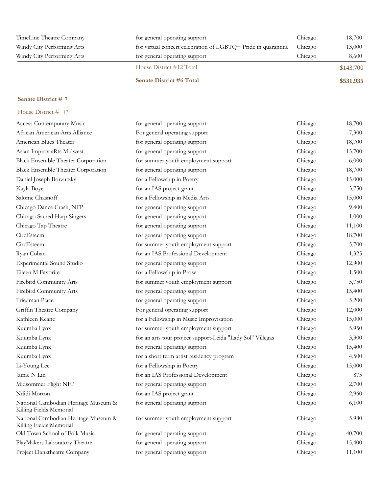| TimeLine Theatre Company   | for general operating support                                 | Chicago | 18,700    |
|----------------------------|---------------------------------------------------------------|---------|-----------|
| Windy City Performing Arts | for virtual concert celebration of LGBTQ+ Pride in quarantine | Chicago | 13,000    |
| Windy City Performing Arts | for general operating support                                 | Chicago | 8,600     |
|                            | House District #12 Total                                      |         | \$143,700 |
|                            | <b>Senate District #6 Total</b>                               |         | \$531,935 |

| House District # 13                                             |                                                            |         |        |
|-----------------------------------------------------------------|------------------------------------------------------------|---------|--------|
| Access Contemporary Music                                       | for general operating support                              | Chicago | 18,700 |
| African American Arts Alliance                                  | For general operating support                              | Chicago | 7,300  |
| American Blues Theater                                          | for general operating support                              | Chicago | 18,700 |
| Asian Improv aRts Midwest                                       | for general operating support                              | Chicago | 13,700 |
| <b>Black Ensemble Theater Corporation</b>                       | for summer youth employment support                        | Chicago | 6,000  |
| <b>Black Ensemble Theater Corporation</b>                       | for general operating support                              | Chicago | 18,700 |
| Daniel Joseph Borzutzky                                         | for a Fellowship in Poetry                                 | Chicago | 15,000 |
| Kayla Boye                                                      | for an IAS project grant                                   | Chicago | 3,750  |
| Salome Chasnoff                                                 | for a Fellowship in Media Arts                             | Chicago | 15,000 |
| Chicago Dance Crash, NFP                                        | for general operating support                              | Chicago | 9,400  |
| Chicago Sacred Harp Singers                                     | for general operating support                              | Chicago | 1,000  |
| Chicago Tap Theatre                                             | for general operating support                              | Chicago | 11,100 |
| CircEsteem                                                      | for general operating support                              | Chicago | 18,700 |
| CircEsteem                                                      | for summer youth employment support                        | Chicago | 5,700  |
| Ryan Cohan                                                      | for an IAS Professional Development                        | Chicago | 1,325  |
| Experimental Sound Studio                                       | for general operating support                              | Chicago | 12,900 |
| Eileen M Favorite                                               | for a Fellowship in Prose                                  | Chicago | 1,500  |
| Firebird Community Arts                                         | for summer youth employment support                        | Chicago | 5,750  |
| Firebird Community Arts                                         | for general operating support                              | Chicago | 15,400 |
| Friedman Place                                                  | for general operating support                              | Chicago | 5,200  |
| Griffin Theatre Company                                         | For general operating support                              | Chicago | 12,000 |
| Kathleen Keane                                                  | for a Fellowship in Music Improvisation                    | Chicago | 15,000 |
| Kuumba Lynx                                                     | for summer youth employment support                        | Chicago | 5,950  |
| Kuumba Lynx                                                     | for an arts tour project support-Leida "Lady Sol" Villegas | Chicago | 3,300  |
| Kuumba Lynx                                                     | for general operating support                              | Chicago | 15,400 |
| Kuumba Lynx                                                     | for a short term artist residency program                  | Chicago | 4,500  |
| Li-Young Lee                                                    | for a Fellowship in Poetry                                 | Chicago | 15,000 |
| Jamie N Lin                                                     | for an IAS Professional Development                        | Chicago | 875    |
| Midsommer Flight NFP                                            | for general operating support                              | Chicago | 2,700  |
| Ndidi Morton                                                    | for an IAS project grant                                   | Chicago | 2,960  |
| National Cambodian Heritage Museum &<br>Killing Fields Memorial | for general operating support                              | Chicago | 6,100  |
| National Cambodian Heritage Museum &<br>Killing Fields Memorial | for summer youth employment support                        | Chicago | 5,980  |
| Old Town School of Folk Music                                   | for general operating support                              | Chicago | 40,700 |
| PlayMakers Laboratory Theatre                                   | for general operating support                              | Chicago | 15,400 |
| Project Danztheatre Company                                     | for general operating support                              | Chicago | 11,100 |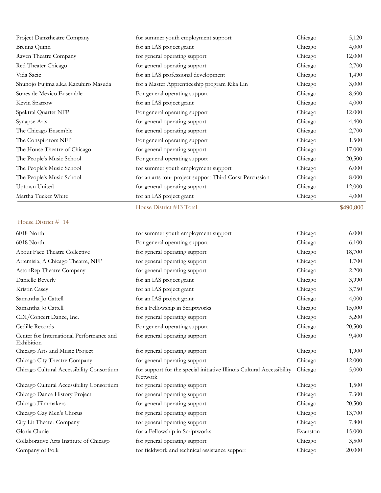| Project Danztheatre Company          | for summer youth employment support                     | Chicago | 5,120  |
|--------------------------------------|---------------------------------------------------------|---------|--------|
| Brenna Quinn                         | for an IAS project grant                                | Chicago | 4,000  |
| Raven Theatre Company                | for general operating support                           | Chicago | 12,000 |
| Red Theater Chicago                  | for general operating support                           | Chicago | 2,700  |
| Vida Sacic                           | for an IAS professional development                     | Chicago | 1,490  |
| Shunojo Fujima a.k.a Kazuhiro Masuda | for a Master Apprenticeship program Rika Lin            | Chicago | 3,000  |
| Sones de Mexico Ensemble             | For general operating support                           | Chicago | 8,600  |
| Kevin Sparrow                        | for an IAS project grant                                | Chicago | 4,000  |
| Spektral Quartet NFP                 | For general operating support                           | Chicago | 12,000 |
| Synapse Arts                         | for general operating support                           | Chicago | 4,400  |
| The Chicago Ensemble                 | for general operating support                           | Chicago | 2,700  |
| The Conspirators NFP                 | For general operating support                           | Chicago | 1,500  |
| The House Theatre of Chicago         | for general operating support                           | Chicago | 17,000 |
| The People's Music School            | For general operating support                           | Chicago | 20,500 |
| The People's Music School            | for summer youth employment support                     | Chicago | 6,000  |
| The People's Music School            | for an arts tour project support-Third Coast Percussion | Chicago | 8,000  |
| Uptown United                        | for general operating support                           | Chicago | 12,000 |
| Martha Tucker White                  | for an IAS project grant                                | Chicago | 4,000  |

### House District # 14

| 6018 North                                             | for summer youth employment support                                               | Chicago  | 6,000  |
|--------------------------------------------------------|-----------------------------------------------------------------------------------|----------|--------|
| 6018 North                                             | For general operating support                                                     | Chicago  | 6,100  |
| About Face Theatre Collective                          | for general operating support                                                     | Chicago  | 18,700 |
| Artemisia, A Chicago Theatre, NFP                      | for general operating support                                                     | Chicago  | 1,700  |
| AstonRep Theatre Company                               | for general operating support                                                     | Chicago  | 2,200  |
| Danielle Beverly                                       | for an IAS project grant                                                          | Chicago  | 3,990  |
| Kristin Casey                                          | for an IAS project grant                                                          | Chicago  | 3,750  |
| Samantha Jo Cattell                                    | for an IAS project grant                                                          | Chicago  | 4,000  |
| Samantha Jo Cattell                                    | for a Fellowship in Scriptworks                                                   | Chicago  | 15,000 |
| CDI/Concert Dance, Inc.                                | for general operating support                                                     | Chicago  | 5,200  |
| Cedille Records                                        | For general operating support                                                     | Chicago  | 20,500 |
| Center for International Performance and<br>Exhibition | for general operating support                                                     | Chicago  | 9,400  |
| Chicago Arts and Music Project                         | for general operating support                                                     | Chicago  | 1,900  |
| Chicago City Theatre Company                           | for general operating support                                                     | Chicago  | 12,000 |
| Chicago Cultural Accessibility Consortium              | for support for the special initiative Illinois Cultural Accessibility<br>Network | Chicago  | 5,000  |
| Chicago Cultural Accessibility Consortium              | for general operating support                                                     | Chicago  | 1,500  |
| Chicago Dance History Project                          | for general operating support                                                     | Chicago  | 7,300  |
| Chicago Filmmakers                                     | for general operating support                                                     | Chicago  | 20,500 |
| Chicago Gay Men's Chorus                               | for general operating support                                                     | Chicago  | 13,700 |
| City Lit Theater Company                               | for general operating support                                                     | Chicago  | 7,800  |
| Gloria Clunie                                          | for a Fellowship in Scriptworks                                                   | Evanston | 15,000 |
| Collaborative Arts Institute of Chicago                | for general operating support                                                     | Chicago  | 3,500  |
| Company of Folk                                        | for fieldwork and technical assistance support                                    | Chicago  | 20,000 |

House District #13 Total \$490,800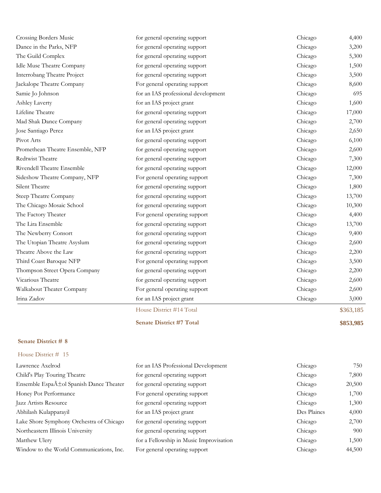| <b>Crossing Borders Music</b>      | for general operating support       | Chicago | 4,400     |
|------------------------------------|-------------------------------------|---------|-----------|
| Dance in the Parks, NFP            | for general operating support       | Chicago | 3,200     |
| The Guild Complex                  | for general operating support       | Chicago | 5,300     |
| Idle Muse Theatre Company          | for general operating support       | Chicago | 1,500     |
| <b>Interrobang Theatre Project</b> | for general operating support       | Chicago | 3,500     |
| Jackalope Theatre Company          | For general operating support       | Chicago | 8,600     |
| Samie Jo Johnson                   | for an IAS professional development | Chicago | 695       |
| Ashley Laverty                     | for an IAS project grant            | Chicago | 1,600     |
| Lifeline Theatre                   | for general operating support       | Chicago | 17,000    |
| Mad Shak Dance Company             | for general operating support       | Chicago | 2,700     |
| Jose Santiago Perez                | for an IAS project grant            | Chicago | 2,650     |
| Pivot Arts                         | for general operating support       | Chicago | 6,100     |
| Promethean Theatre Ensemble, NFP   | for general operating support       | Chicago | 2,600     |
| Redtwist Theatre                   | for general operating support       | Chicago | 7,300     |
| Rivendell Theatre Ensemble         | for general operating support       | Chicago | 12,000    |
| Sideshow Theatre Company, NFP      | For general operating support       | Chicago | 7,300     |
| Silent Theatre                     | for general operating support       | Chicago | 1,800     |
| Steep Theatre Company              | for general operating support       | Chicago | 13,700    |
| The Chicago Mosaic School          | for general operating support       | Chicago | 10,300    |
| The Factory Theater                | For general operating support       | Chicago | 4,400     |
| The Lira Ensemble                  | for general operating support       | Chicago | 13,700    |
| The Newberry Consort               | for general operating support       | Chicago | 9,400     |
| The Utopian Theatre Asyslum        | for general operating support       | Chicago | 2,600     |
| Theatre Above the Law              | for general operating support       | Chicago | 2,200     |
| Third Coast Baroque NFP            | For general operating support       | Chicago | 3,500     |
| Thompson Street Opera Company      | for general operating support       | Chicago | 2,200     |
| Vicarious Theatre                  | for general operating support       | Chicago | 2,600     |
| Walkabout Theater Company          | For general operating support       | Chicago | 2,600     |
| Irina Zadov                        | for an IAS project grant            | Chicago | 3,000     |
|                                    | House District #14 Total            |         | \$363,185 |

### House District # 15

| Lawrence Axelrod                                    | for an IAS Professional Development     | Chicago     | 750    |
|-----------------------------------------------------|-----------------------------------------|-------------|--------|
| Child's Play Touring Theatre                        | for general operating support           | Chicago     | 7,800  |
| Ensemble Espa $\tilde{A}$ tol Spanish Dance Theater | for general operating support           | Chicago     | 20,500 |
| Honey Pot Performance                               | For general operating support           | Chicago     | 1,700  |
| Jazz Artists Resource                               | for general operating support           | Chicago     | 1,300  |
| Abhilash Kulapparayil                               | for an IAS project grant                | Des Plaines | 4,000  |
| Lake Shore Symphony Orchestra of Chicago            | for general operating support           | Chicago     | 2,700  |
| Northeastern Illinois University                    | for general operating support           | Chicago     | 900    |
| Matthew Ulery                                       | for a Fellowship in Music Improvisation | Chicago     | 1,500  |
| Window to the World Communications, Inc.            | For general operating support           | Chicago     | 44,500 |

**Senate District #7 Total \$853,985**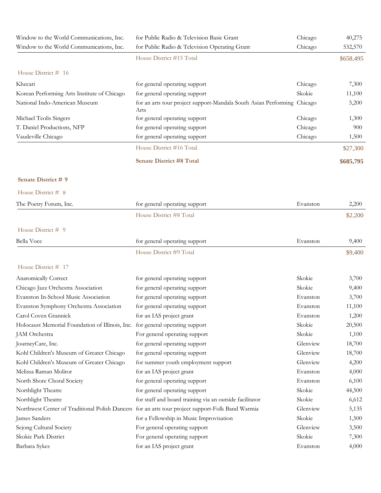| Window to the World Communications, Inc.                                      | for Public Radio & Television Basic Grant                                                        | Chicago  | 40,275    |
|-------------------------------------------------------------------------------|--------------------------------------------------------------------------------------------------|----------|-----------|
| Window to the World Communications, Inc.                                      | for Public Radio & Television Operating Grant                                                    | Chicago  | 532,570   |
|                                                                               | House District #15 Total                                                                         |          | \$658,495 |
| House District # 16                                                           |                                                                                                  |          |           |
| Khecari                                                                       | for general operating support                                                                    | Chicago  | 7,300     |
| Korean Performing Arts Institute of Chicago                                   | for general operating support                                                                    | Skokie   | 11,100    |
| National Indo-American Museum                                                 | for an arts tour project support-Mandala South Asian Performing Chicago<br>Arts                  |          | 5,200     |
| Michael Teolis Singers                                                        | for general operating support                                                                    | Chicago  | 1,300     |
| T. Daniel Productions, NFP                                                    | for general operating support                                                                    | Chicago  | 900       |
| Vaudeville Chicago                                                            | for general operating support                                                                    | Chicago  | 1,500     |
|                                                                               | House District #16 Total                                                                         |          | \$27,300  |
|                                                                               | <b>Senate District #8 Total</b>                                                                  |          | \$685,795 |
| Senate District # 9                                                           |                                                                                                  |          |           |
| House District # 8                                                            |                                                                                                  |          |           |
| The Poetry Forum, Inc.                                                        | for general operating support                                                                    | Evanston | 2,200     |
|                                                                               | House District #8 Total                                                                          |          | \$2,200   |
| House District # 9                                                            |                                                                                                  |          |           |
| Bella Voce                                                                    | for general operating support                                                                    | Evanston | 9,400     |
|                                                                               | House District #9 Total                                                                          |          | \$9,400   |
| House District # 17                                                           |                                                                                                  |          |           |
| Anatomically Correct                                                          | for general operating support                                                                    | Skokie   | 3,700     |
| Chicago Jazz Orchestra Association                                            | for general operating support                                                                    | Skokie   | 9,400     |
| Evanston In-School Music Association                                          | for general operating support                                                                    | Evanston | 3,700     |
| Evanston Symphony Orchestra Association                                       | for general operating support                                                                    | Evanston | 11,100    |
| Carol Coven Grannick                                                          | for an IAS project grant                                                                         | Evanston | 1,200     |
| Holocaust Memorial Foundation of Illinois, Inc. for general operating support |                                                                                                  | Skokie   | 20,500    |
| JAM Orchestra                                                                 | For general operating support                                                                    | Skokie   | 1,100     |
| JourneyCare, Inc.                                                             | for general operating support                                                                    | Glenview | 18,700    |
| Kohl Children's Museum of Greater Chicago                                     | for general operating support                                                                    | Glenview | 18,700    |
| Kohl Children's Museum of Greater Chicago                                     | for summer youth employment support                                                              | Glenview | 4,200     |
| Melissa Raman Molitor                                                         | for an IAS project grant                                                                         | Evanston | 4,000     |
| North Shore Choral Society                                                    | for general operating support                                                                    | Evanston | 6,100     |
| Northlight Theatre                                                            | for general operating support                                                                    | Skokie   | 44,500    |
| Northlight Theatre                                                            | for staff and board training via an outside facilitator                                          | Skokie   | 6,612     |
|                                                                               | Northwest Center of Traditional Polish Dancers for an arts tour project support-Folk Band Warmia | Glenview | 5,135     |
| James Sanders                                                                 | for a Fellowship in Music Improvisation                                                          | Skokie   | 1,500     |
| Sejong Cultural Society                                                       | For general operating support                                                                    | Glenview | 3,500     |
| Skokie Park District                                                          | For general operating support                                                                    | Skokie   | 7,300     |
| Barbara Sykes                                                                 | for an IAS project grant                                                                         | Evanston | 4,000     |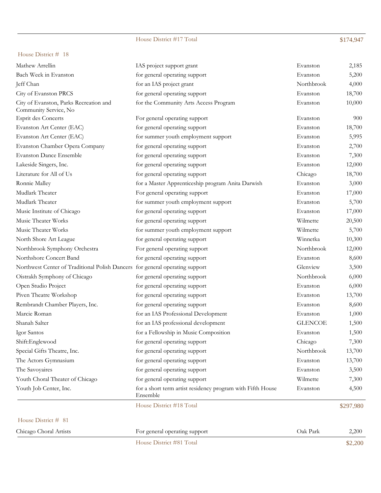### House District #17 Total \$174,947

### House District # 18

| Mathew Arrellin                                                 | IAS project support grant             | Evanston   | 2,185  |
|-----------------------------------------------------------------|---------------------------------------|------------|--------|
| Bach Week in Evanston                                           | for general operating support         | Evanston   | 5,200  |
| Jeff Chan                                                       | for an IAS project grant              | Northbrook | 4,000  |
| City of Evanston PRCS                                           | for general operating support         | Evanston   | 18,700 |
| City of Evanston, Parks Recreation and<br>Community Service, No | for the Community Arts Access Program | Evanston   | 10,000 |
| Esprit des Concerts                                             | For general operating support         | Evanston   | 900    |

|                                                                              | House District #18 Total                                               |                | \$297,980 |
|------------------------------------------------------------------------------|------------------------------------------------------------------------|----------------|-----------|
| Youth Job Center, Inc.                                                       | for a short term artist residency program with Fifth House<br>Ensemble | Evanston       | 4,500     |
| Youth Choral Theater of Chicago                                              | for general operating support                                          | Wilmette       | 7,300     |
| The Savoyaires                                                               | for general operating support                                          | Evanston       | 3,500     |
| The Actors Gymnasium                                                         | for general operating support                                          | Evanston       | 13,700    |
| Special Gifts Theatre, Inc.                                                  | for general operating support                                          | Northbrook     | 13,700    |
| Shift:Englewood                                                              | for general operating support                                          | Chicago        | 7,300     |
| Igor Santos                                                                  | for a Fellowship in Music Composition                                  | Evanston       | 1,500     |
| Shanah Salter                                                                | for an IAS professional development                                    | <b>GLENCOE</b> | 1,500     |
| Marcie Roman                                                                 | for an IAS Professional Development                                    | Evanston       | 1,000     |
| Rembrandt Chamber Players, Inc.                                              | for general operating support                                          | Evanston       | 8,600     |
| Piven Theatre Workshop                                                       | for general operating support                                          | Evanston       | 13,700    |
| Open Studio Project                                                          | for general operating support                                          | Evanston       | 6,000     |
| Oistrakh Symphony of Chicago                                                 | for general operating support                                          | Northbrook     | 6,000     |
| Northwest Center of Traditional Polish Dancers for general operating support |                                                                        | Glenview       | 3,500     |
| Northshore Concert Band                                                      | for general operating support                                          | Evanston       | 8,600     |
| Northbrook Symphony Orchestra                                                | For general operating support                                          | Northbrook     | 12,000    |
| North Shore Art League                                                       | for general operating support                                          | Winnetka       | 10,300    |
| Music Theater Works                                                          | for summer youth employment support                                    | Wilmette       | 5,700     |
| Music Theater Works                                                          | for general operating support                                          | Wilmette       | 20,500    |
| Music Institute of Chicago                                                   | for general operating support                                          | Evanston       | 17,000    |
| Mudlark Theater                                                              | for summer youth employment support                                    | Evanston       | 5,700     |
| Mudlark Theater                                                              | For general operating support                                          | Evanston       | 17,000    |
| Ronnie Malley                                                                | for a Master Apprenticeship program Anita Darwish                      | Evanston       | 3,000     |
| Literature for All of Us                                                     | for general operating support                                          | Chicago        | 18,700    |
| Lakeside Singers, Inc.                                                       | for general operating support                                          | Evanston       | 12,000    |
| <b>Evanston Dance Ensemble</b>                                               | for general operating support                                          | Evanston       | 7,300     |
| Evanston Chamber Opera Company                                               | for general operating support                                          | Evanston       | 2,700     |
| Evanston Art Center (EAC)                                                    | for summer youth employment support                                    | Evanston       | 5,995     |
| Evanston Art Center (EAC)                                                    | for general operating support                                          | Evanston       | 18,700    |
| <b>Esprit des Concerts</b>                                                   | For general operating support                                          | Evanston       | 900       |
| Community Service, No                                                        | for the Community Arts Access Program                                  | Evanston       |           |
| City of Evanston, Parks Recreation and                                       |                                                                        |                | 10,000    |
| City of Evanston PRCS                                                        | for general operating support                                          | Evanston       | 18,700    |

House District # 81

Chicago Choral Artists For general operating support Oak Park 2,200

House District #81 Total \$2,200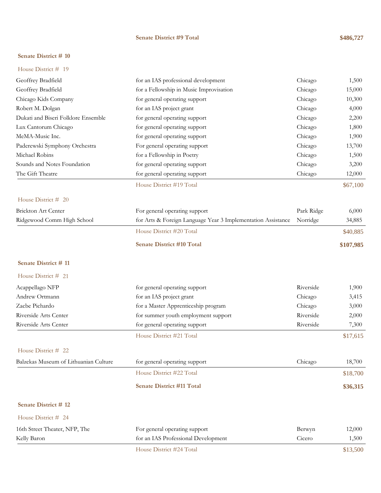### **Senate District #9 Total \$486,727**

### **Senate District # 10**

| Geoffrey Bradfield                    | for an IAS professional development                          | Chicago    | 1,500     |
|---------------------------------------|--------------------------------------------------------------|------------|-----------|
| Geoffrey Bradfield                    | for a Fellowship in Music Improvisation                      | Chicago    | 15,000    |
| Chicago Kids Company                  | for general operating support                                | Chicago    | 10,300    |
| Robert M. Dolgan                      | for an IAS project grant                                     | Chicago    | 4,000     |
| Dukati and Biseri Folklore Ensemble   | for general operating support                                | Chicago    | 2,200     |
| Lux Cantorum Chicago                  | for general operating support                                | Chicago    | 1,800     |
| MeMA-Music Inc.                       | for general operating support                                | Chicago    | 1,900     |
| Paderewski Symphony Orchestra         | For general operating support                                | Chicago    | 13,700    |
| Michael Robins                        | for a Fellowship in Poetry                                   | Chicago    | 1,500     |
| Sounds and Notes Foundation           | for general operating support                                | Chicago    | 3,200     |
| The Gift Theatre                      | for general operating support                                | Chicago    | 12,000    |
|                                       | House District #19 Total                                     |            | \$67,100  |
| House District # 20                   |                                                              |            |           |
| Brickton Art Center                   | For general operating support                                | Park Ridge | 6,000     |
| Ridgewood Comm High School            | for Arts & Foreign Language Year 3 Implementation Assistance | Norridge   | 34,885    |
|                                       | House District #20 Total                                     |            | \$40,885  |
|                                       | <b>Senate District #10 Total</b>                             |            | \$107,985 |
| <b>Senate District # 11</b>           |                                                              |            |           |
| House District # 21                   |                                                              |            |           |
| Acappellago NFP                       | for general operating support                                | Riverside  | 1,900     |
| Andrew Ortmann                        | for an IAS project grant                                     | Chicago    | 3,415     |
| Zacbe Pichardo                        | for a Master Apprenticeship program                          | Chicago    | 3,000     |
| Riverside Arts Center                 | for summer youth employment support                          | Riverside  | 2,000     |
| Riverside Arts Center                 | for general operating support                                | Riverside  | 7,300     |
|                                       | House District #21 Total                                     |            | \$17,615  |
| House District # 22                   |                                                              |            |           |
| Balzekas Museum of Lithuanian Culture | for general operating support                                | Chicago    | 18,700    |
|                                       | House District #22 Total                                     |            | \$18,700  |
|                                       | <b>Senate District #11 Total</b>                             |            | \$36,315  |
| Senate District #12                   |                                                              |            |           |
| House District # 24                   |                                                              |            |           |
| 16th Street Theater, NFP, The         | For general operating support                                | Berwyn     | 12,000    |
| Kelly Baron                           | for an IAS Professional Development                          | Cicero     | 1,500     |
|                                       | House District #24 Total                                     |            | \$13,500  |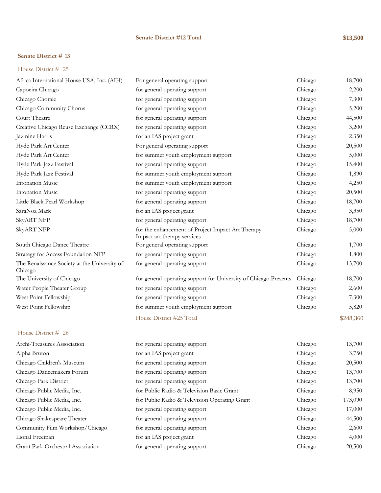### **Senate District #12 Total \$13,500**

### **Senate District # 13**

### House District # 25

|                                                         | House District #25 Total                                                         |         | \$248,360 |
|---------------------------------------------------------|----------------------------------------------------------------------------------|---------|-----------|
| West Point Fellowship                                   | for summer youth employment support                                              | Chicago | 5,820     |
| West Point Fellowship                                   | for general operating support                                                    | Chicago | 7,300     |
| Water People Theater Group                              | for general operating support                                                    | Chicago | 2,600     |
| The University of Chicago                               | for general operating support for University of Chicago Presents                 | Chicago | 18,700    |
| The Renaissance Society at the University of<br>Chicago | for general operating support                                                    | Chicago | 13,700    |
| Strategy for Access Foundation NFP                      | for general operating support                                                    | Chicago | 1,800     |
| South Chicago Dance Theatre                             | For general operating support                                                    | Chicago | 1,700     |
| <b>SkyART NFP</b>                                       | for the enhancement of Project Impact Art Therapy<br>Impact art therapy services | Chicago | 5,000     |
| <b>SkyART NFP</b>                                       | for general operating support                                                    | Chicago | 18,700    |
| SaraNoa Mark                                            | for an IAS project grant                                                         | Chicago | 3,350     |
| Little Black Pearl Workshop                             | for general operating support                                                    | Chicago | 18,700    |
| <b>Intonation Music</b>                                 | for general operating support                                                    | Chicago | 20,500    |
| <b>Intonation Music</b>                                 | for summer youth employment support                                              | Chicago | 4,250     |
| Hyde Park Jazz Festival                                 | for summer youth employment support                                              | Chicago | 1,890     |
| Hyde Park Jazz Festival                                 | for general operating support                                                    | Chicago | 15,400    |
| Hyde Park Art Center                                    | for summer youth employment support                                              | Chicago | 5,000     |
| Hyde Park Art Center                                    | For general operating support                                                    | Chicago | 20,500    |
| Jazmine Harris                                          | for an IAS project grant                                                         | Chicago | 2,350     |
| Creative Chicago Reuse Exchange (CCRX)                  | for general operating support                                                    | Chicago | 3,200     |
| Court Theatre                                           | for general operating support                                                    | Chicago | 44,500    |
| Chicago Community Chorus                                | for general operating support                                                    | Chicago | 5,200     |
| Chicago Chorale                                         | for general operating support                                                    | Chicago | 7,300     |
| Capoeira Chicago                                        | for general operating support                                                    | Chicago | 2,200     |
| Africa International House USA, Inc. (AIH)              | For general operating support                                                    | Chicago | 18,700    |

| Archi-Treasures Association       | for general operating support                 | Chicago | 13,700  |
|-----------------------------------|-----------------------------------------------|---------|---------|
| Alpha Bruton                      | for an IAS project grant                      | Chicago | 3,750   |
| Chicago Children's Museum         | for general operating support                 | Chicago | 20,500  |
| Chicago Dancemakers Forum         | for general operating support                 | Chicago | 13,700  |
| Chicago Park District             | for general operating support                 | Chicago | 13,700  |
| Chicago Public Media, Inc.        | for Public Radio & Television Basic Grant     | Chicago | 8,950   |
| Chicago Public Media, Inc.        | for Public Radio & Television Operating Grant | Chicago | 173,090 |
| Chicago Public Media, Inc.        | for general operating support                 | Chicago | 17,000  |
| Chicago Shakespeare Theater       | for general operating support                 | Chicago | 44,500  |
| Community Film Workshop/Chicago   | for general operating support                 | Chicago | 2,600   |
| Lional Freeman                    | for an IAS project grant                      | Chicago | 4,000   |
| Grant Park Orchestral Association | for general operating support                 | Chicago | 20,500  |
|                                   |                                               |         |         |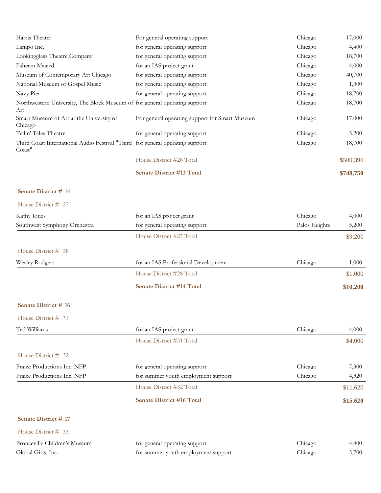| Harris Theater                                                                          | For general operating support                  | Chicago       | 17,000    |
|-----------------------------------------------------------------------------------------|------------------------------------------------|---------------|-----------|
| Lampo Inc.                                                                              | for general operating support                  | Chicago       | 4,400     |
| Lookingglass Theatre Company                                                            | for general operating support                  | Chicago       | 18,700    |
| Faheem Majeed                                                                           | for an IAS project grant                       | Chicago       | 4,000     |
| Museum of Contemporary Art Chicago                                                      | for general operating support                  | Chicago       | 40,700    |
| National Museum of Gospel Music                                                         | for general operating support                  | Chicago       | 1,300     |
| Navy Pier                                                                               | for general operating support                  | Chicago       | 18,700    |
| Northwestern University, The Block Museum of for general operating support<br>Art       |                                                | Chicago       | 18,700    |
| Smart Museum of Art at the University of<br>Chicago                                     | For general operating support for Smart Museum | Chicago       | 17,000    |
| Tellin' Tales Theatre                                                                   | for general operating support                  | Chicago       | 5,200     |
| Third Coast International Audio Festival "Third for general operating support<br>Coast" |                                                | Chicago       | 18,700    |
|                                                                                         | House District #26 Total                       |               | \$500,390 |
|                                                                                         | <b>Senate District #13 Total</b>               |               | \$748,750 |
| Senate District #14                                                                     |                                                |               |           |
| House District # 27                                                                     |                                                |               |           |
| Kathy Jones                                                                             | for an IAS project grant                       | Chicago       | 4,000     |
| Southwest Symphony Orchestra                                                            | for general operating support                  | Palos Heights | 5,200     |
|                                                                                         | House District #27 Total                       |               | \$9,200   |
| House District # 28                                                                     |                                                |               |           |
| <b>Wesley Rodgers</b>                                                                   | for an IAS Professional Development            | Chicago       | 1,000     |
|                                                                                         | House District #28 Total                       |               | \$1,000   |
|                                                                                         | <b>Senate District #14 Total</b>               |               | \$10,200  |
| <b>Senate District # 16</b>                                                             |                                                |               |           |
| House District # 31                                                                     |                                                |               |           |
| Ted Williams                                                                            | for an IAS project grant                       | Chicago       | 4,000     |
|                                                                                         | House District #31 Total                       |               | \$4,000   |
| House District # 32                                                                     |                                                |               |           |
| Praize Productions Inc. NFP                                                             | for general operating support                  | Chicago       | 7,300     |
| Praize Productions Inc. NFP                                                             | for summer youth employment support            | Chicago       | 4,320     |
|                                                                                         | House District #32 Total                       |               | \$11,620  |
|                                                                                         | <b>Senate District #16 Total</b>               |               | \$15,620  |
| Senate District #17                                                                     |                                                |               |           |
| House District # 33                                                                     |                                                |               |           |
| Bronzeville Children's Museum                                                           | for general operating support                  | Chicago       | 4,400     |
| Global Girls, Inc.                                                                      | for summer youth employment support            | Chicago       | 5,700     |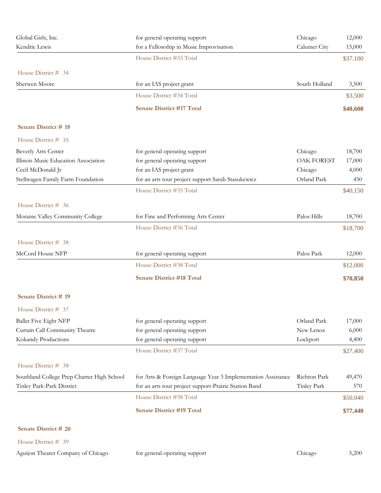| Global Girls, Inc.                         | for general operating support                                | Chicago           | 12,000   |
|--------------------------------------------|--------------------------------------------------------------|-------------------|----------|
| Kendric Lewis                              | for a Fellowship in Music Improvisation                      | Calumet City      | 15,000   |
|                                            | House District #33 Total                                     |                   | \$37,100 |
| House District # 34                        |                                                              |                   |          |
| Sherwen Moore                              | for an IAS project grant                                     | South Holland     | 3,500    |
|                                            | House District #34 Total                                     |                   | \$3,500  |
|                                            | <b>Senate District #17 Total</b>                             |                   | \$40,600 |
| Senate District #18                        |                                                              |                   |          |
| House District # 35                        |                                                              |                   |          |
| Beverly Arts Center                        | for general operating support                                | Chicago           | 18,700   |
| Illinois Music Education Association       | for general operating support                                | <b>OAK FOREST</b> | 17,000   |
| Cecil McDonald Jr                          | for an IAS project grant                                     | Chicago           | 4,000    |
| Stellwagen Family Farm Foundation          | for an arts tour project support Sarah Stasukewicz           | Orland Park       | 450      |
|                                            | House District #35 Total                                     |                   | \$40,150 |
| House District # 36                        |                                                              |                   |          |
| Moraine Valley Community College           | for Fine and Performing Arts Center                          | Palos Hills       | 18,700   |
|                                            | House District #36 Total                                     |                   | \$18,700 |
| House District # 38                        |                                                              |                   |          |
| McCord House NFP                           | for general operating support                                | Palos Park        | 12,000   |
|                                            | House District #38 Total                                     |                   | \$12,000 |
|                                            | <b>Senate District #18 Total</b>                             |                   | \$70,850 |
| Senate District # 19                       |                                                              |                   |          |
| House District # 37                        |                                                              |                   |          |
| <b>Ballet Five Eight NFP</b>               | for general operating support                                | Orland Park       | 17,000   |
| Curtain Call Community Theatre             | for general operating support                                | New Lenox         | 6,000    |
| Kokandy Productions                        | for general operating support                                | Lockport          | 4,400    |
|                                            | House District #37 Total                                     |                   | \$27,400 |
| House District # 38                        |                                                              |                   |          |
| Southland College Prep Charter High School | for Arts & Foreign Language Year 3 Implementation Assistance | Richton Park      | 49,470   |
| Tinley Park-Park District                  | for an arts tour project support-Prairie Station Band        | Tinley Park       | 570      |
|                                            | House District #38 Total                                     |                   | \$50,040 |
|                                            | <b>Senate District #19 Total</b>                             |                   | \$77,440 |
| Senate District # 20                       |                                                              |                   |          |
| House District # 39                        |                                                              |                   |          |
| Aguijon Theater Company of Chicago         | for general operating support                                | Chicago           | 5,200    |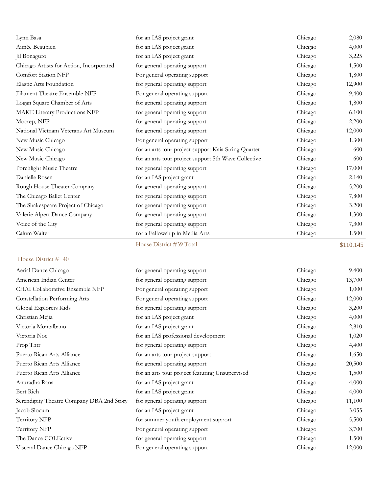| Lynn Basa                                 | for an IAS project grant                             | Chicago | 2,080     |
|-------------------------------------------|------------------------------------------------------|---------|-----------|
| Aimée Beaubien                            | for an IAS project grant                             | Chicgao | 4,000     |
| Jil Bonaguro                              | for an IAS project grant                             | Chicago | 3,225     |
| Chicago Artists for Action, Incorporated  | for general operating support                        | Chicago | 1,500     |
| <b>Comfort Station NFP</b>                | For general operating support                        | Chicago | 1,800     |
| Elastic Arts Foundation                   | for general operating support                        | Chicago | 12,900    |
| Filament Theatre Ensemble NFP             | For general operating support                        | Chicago | 9,400     |
| Logan Square Chamber of Arts              | for general operating support                        | Chicago | 1,800     |
| MAKE Literary Productions NFP             | for general operating support                        | Chicago | 6,100     |
| Mocrep, NFP                               | for general operating support                        | Chicago | 2,200     |
| National Vietnam Veterans Art Museum      | for general operating support                        | Chicago | 12,000    |
| New Music Chicago                         | For general operating support                        | Chicago | 1,300     |
| New Music Chicago                         | for an arts tour project support Kaia String Quartet | Chicago | 600       |
| New Music Chicago                         | for an arts tour project support 5th Wave Collective | Chicago | 600       |
| Porchlight Music Theatre                  | for general operating support                        | Chicago | 17,000    |
| Danielle Rosen                            | for an IAS project grant                             | Chicago | 2,140     |
| Rough House Theater Company               | for general operating support                        | Chicago | 5,200     |
| The Chicago Ballet Center                 | for general operating support                        | Chicago | 7,800     |
| The Shakespeare Project of Chicago        | for general operating support                        | Chicago | 3,200     |
| Valerie Alpert Dance Company              | for general operating support                        | Chicago | 1,300     |
| Voice of the City                         | for general operating support                        | Chicago | 7,300     |
| Calum Walter                              | for a Fellowship in Media Arts                       | Chicago | 1,500     |
|                                           | House District #39 Total                             |         | \$110,145 |
| House District # 40                       |                                                      |         |           |
| Aerial Dance Chicago                      | for general operating support                        | Chicago | 9,400     |
| American Indian Center                    | for general operating support                        | Chicago | 13,700    |
| CHAI Collaborative Ensemble NFP           | For general operating support                        | Chicago | 1,000     |
| Constellation Performing Arts             | For general operating support                        | Chicago | 12,000    |
| Global Explorers Kids                     | for general operating support                        | Chicago | 3,200     |
| Christian Mejia                           | for an IAS project grant                             | Chicago | 4,000     |
| Victoria Montalbano                       | for an IAS project grant                             | Chicago | 2,810     |
| Victoria Noe                              | for an IAS professional development                  | Chicago | 1,020     |
| Prop Thtr                                 | for general operating support                        | Chicago | 4,400     |
| Puerto Rican Arts Alliance                | for an arts tour project support                     | Chicago | 1,650     |
| Puerto Rican Arts Alliance                | for general operating support                        | Chicago | 20,500    |
| Puerto Rican Arts Alliance                | for an arts tour project featuring Unsupervised      | Chicago | 1,500     |
| Anuradha Rana                             | for an IAS project grant                             | Chicago | 4,000     |
| Bert Rich                                 | for an IAS project grant                             | Chicago | 4,000     |
| Serendipity Theatre Company DBA 2nd Story | for general operating support                        | Chicago | 11,100    |
| Jacob Slocum                              | for an IAS project grant                             | Chicago | 3,055     |
| Territory NFP                             | for summer youth employment support                  | Chicago | 5,500     |

Territory NFP For general operating support Chicago 3,700 The Dance COLEctive for general operating support Chicago Chicago 1,500 Visceral Dance Chicago NFP For general operating support Chicago Chicago 12,000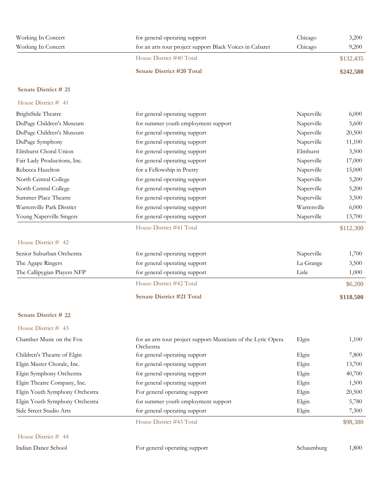| Working In Concert<br>Working In Concert | for general operating support<br>for an arts tour project support Black Voices in Cabaret | Chicago<br>Chicago | 3,200<br>9,200 |
|------------------------------------------|-------------------------------------------------------------------------------------------|--------------------|----------------|
|                                          | House District #40 Total                                                                  |                    | \$132,435      |
|                                          | <b>Senate District #20 Total</b>                                                          |                    | \$242,580      |

| House District # 41         |                                     |             |           |
|-----------------------------|-------------------------------------|-------------|-----------|
| BrightSide Theatre          | for general operating support       | Naperville  | 6,000     |
| DuPage Children's Museum    | for summer youth employment support | Naperville  | 5,600     |
| DuPage Children's Museum    | for general operating support       | Naperville  | 20,500    |
| DuPage Symphony             | for general operating support       | Naperville  | 11,100    |
| Elmhurst Choral Union       | for general operating support       | Elmhurst    | 3,500     |
| Fair Lady Productions, Inc. | for general operating support       | Naperville  | 17,000    |
| Rebecca Hazelton            | for a Fellowship in Poetry          | Naperville  | 15,000    |
| North Central College       | for general operating support       | Naperville  | 5,200     |
| North Central College       | for general operating support       | Naperville  | 5,200     |
| Summer Place Theatre        | for general operating support       | Naperville  | 3,500     |
| Warrenville Park District   | for general operating support       | Warrenville | 6,000     |
| Young Naperville Singers    | for general operating support       | Naperville  | 13,700    |
|                             | House District #41 Total            |             | \$112,300 |
| House District # 42         |                                     |             |           |
| Senior Suburban Orchestra   | for general operating support       | Naperville  | 1,700     |
| The Agape Ringers           | for general operating support       | La Grange   | 3,500     |
| The Callipygian Players NFP | for general operating support       | Lisle       | 1,000     |
|                             | House District #42 Total            |             | \$6,200   |
|                             | <b>Senate District #21 Total</b>    |             | \$118,500 |
| Senate District # 22        |                                     |             |           |

| Chamber Music on the Fox       | for an arts tour project support-Musicians of the Lyric Opera<br>Orchestra | Elgin | 1,100    |
|--------------------------------|----------------------------------------------------------------------------|-------|----------|
| Children's Theatre of Elgin    | for general operating support                                              | Elgin | 7,800    |
| Elgin Master Chorale, Inc.     | for general operating support                                              | Elgin | 13,700   |
| Elgin Symphony Orchestra       | for general operating support                                              | Elgin | 40,700   |
| Elgin Theatre Company, Inc.    | for general operating support                                              | Elgin | 1,500    |
| Elgin Youth Symphony Orchestra | For general operating support                                              | Elgin | 20,500   |
| Elgin Youth Symphony Orchestra | for summer youth employment support                                        | Elgin | 5,780    |
| Side Street Studio Arts        | for general operating support                                              | Elgin | 7,300    |
|                                | House District #43 Total                                                   |       | \$98,380 |

### House District # 44

House District # 43

Indian Dance School For general operating support Schaumburg 1,800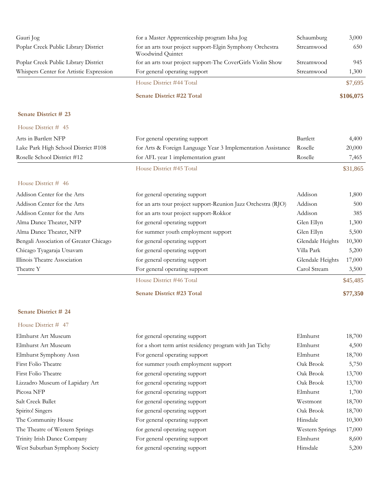| Gauri Jog                               | for a Master Apprenticeship program Isha Jog                                  | Schaumburg       | 3,000     |
|-----------------------------------------|-------------------------------------------------------------------------------|------------------|-----------|
| Poplar Creek Public Library District    | for an arts tour project support-Elgin Symphony Orchestra<br>Woodwind Quintet | Streamwood       | 650       |
| Poplar Creek Public Library District    | for an arts tour project support-The CoverGirls Violin Show                   | Streamwood       | 945       |
| Whispers Center for Artistic Expression | For general operating support                                                 | Streamwood       | 1,300     |
|                                         | House District #44 Total                                                      |                  | \$7,695   |
|                                         | Senate District #22 Total                                                     |                  | \$106,075 |
| Senate District # 23                    |                                                                               |                  |           |
| House District # 45                     |                                                                               |                  |           |
| Arts in Bartlett NFP                    | For general operating support                                                 | Bartlett         | 4,400     |
| Lake Park High School District #108     | for Arts & Foreign Language Year 3 Implementation Assistance                  | Roselle          | 20,000    |
| Roselle School District #12             | for AFL year 1 implementation grant                                           | Roselle          | 7,465     |
|                                         | House District #45 Total                                                      |                  | \$31,865  |
| House District # 46                     |                                                                               |                  |           |
| Addison Center for the Arts             | for general operating support                                                 | Addison          | 1,800     |
| Addison Center for the Arts             | for an arts tour project support-Reunion Jazz Orchestra (RJO)                 | Addison          | 500       |
| Addison Center for the Arts             | for an arts tour project support-Rokkor                                       | Addison          | 385       |
| Alma Dance Theater, NFP                 | for general operating support                                                 | Glen Ellyn       | 1,300     |
| Alma Dance Theater, NFP                 | for summer youth employment support                                           | Glen Ellyn       | 5,500     |
| Bengali Association of Greater Chicago  | for general operating support                                                 | Glendale Heights | 10,300    |
| Chicago Tyagaraja Utsavam               | for general operating support                                                 | Villa Park       | 5,200     |
| Illinois Theatre Association            | for general operating support                                                 | Glendale Heights | 17,000    |
| Theatre Y                               | For general operating support                                                 | Carol Stream     | 3,500     |
|                                         | House District #46 Total                                                      |                  | \$45,485  |
|                                         | <b>Senate District #23 Total</b>                                              |                  | \$77,350  |
| Senate District # 24                    |                                                                               |                  |           |
| House District # 47                     |                                                                               |                  |           |
| Elmhurst Art Museum                     | for general operating support                                                 | Elmhurst         | 18,700    |
| Elmhurst Art Museum                     | for a short term artist residency program with Jan Tichy                      | Elmhurst         | 4,500     |
| Elmhurst Symphony Assn                  | For general operating support                                                 | Elmhurst         | 18,700    |
| First Folio Theatre                     | for summer youth employment support                                           | Oak Brook        | 5,750     |
| First Folio Theatre                     | for general operating support                                                 | Oak Brook        | 13,700    |
| Lizzadro Museum of Lapidary Art         | for general operating support                                                 | Oak Brook        | 13,700    |
| Picosa NFP                              | for general operating support                                                 | Elmhurst         | 1,700     |
| Salt Creek Ballet                       | for general operating support                                                 | Westmont         | 18,700    |
| Spirito! Singers                        | for general operating support                                                 | Oak Brook        | 18,700    |
| The Community House                     | For general operating support                                                 | Hinsdale         | 10,300    |
| The Theatre of Western Springs          | for general operating support                                                 | Western Springs  | 17,000    |
| Trinity Irish Dance Company             | For general operating support                                                 | Elmhurst         | 8,600     |

West Suburban Symphony Society for general operating support Hinsdale 5,200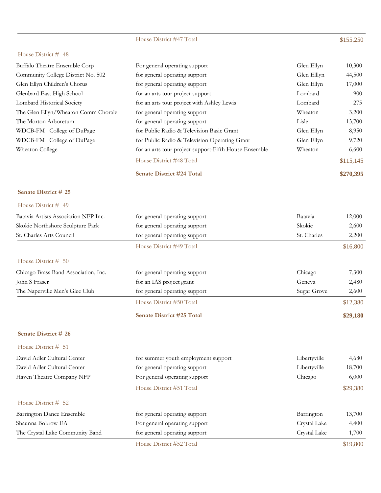# House District #47 Total \$155,250

### House District # 48

|                                     | <b>Senate District #24 Total</b>                      |             | \$270,395 |
|-------------------------------------|-------------------------------------------------------|-------------|-----------|
|                                     | House District #48 Total                              |             | \$115,145 |
| Wheaton College                     | for an arts tour project support-Fifth House Ensemble | Wheaton     | 6,600     |
| WDCB-FM College of DuPage           | for Public Radio & Television Operating Grant         | Glen Ellyn  | 9,720     |
| WDCB-FM College of DuPage           | for Public Radio & Television Basic Grant             | Glen Ellyn  | 8,950     |
| The Morton Arboretum                | for general operating support                         | Lisle       | 13,700    |
| The Glen Ellyn/Wheaton Comm Chorale | for general operating support                         | Wheaton     | 3,200     |
| <b>Lombard Historical Society</b>   | for an arts tour project with Ashley Lewis            | Lombard     | 275       |
| Glenbard East High School           | for an arts tour project support                      | Lombard     | 900       |
| Glen Ellyn Children's Chorus        | for general operating support                         | Glen Ellyn  | 17,000    |
| Community College District No. 502  | for general operating support                         | Glen Elllyn | 44,500    |
| Buffalo Theatre Ensemble Corp       | For general operating support                         | Glen Ellyn  | 10,300    |

### **Senate District # 25**

| House District $#$ 49                |                                  |             |          |
|--------------------------------------|----------------------------------|-------------|----------|
| Batavia Artists Association NFP Inc. | for general operating support    | Batavia     | 12,000   |
| Skokie Northshore Sculpture Park     | for general operating support    | Skokie      | 2,600    |
| St. Charles Arts Council             | for general operating support    | St. Charles | 2,200    |
|                                      | House District #49 Total         |             | \$16,800 |
| House District $# 50$                |                                  |             |          |
| Chicago Brass Band Association, Inc. | for general operating support    | Chicago     | 7,300    |
| John S Fraser                        | for an IAS project grant         | Geneva      | 2,480    |
| The Naperville Men's Glee Club       | for general operating support    | Sugar Grove | 2,600    |
|                                      | House District #50 Total         |             | \$12,380 |
|                                      | <b>Senate District #25 Total</b> |             | \$29,180 |
| <b>Senate District # 26</b>          |                                  |             |          |
| House District # 51                  |                                  |             |          |

| David Adler Cultural Center     | for summer youth employment support | Libertyville | 4,680    |
|---------------------------------|-------------------------------------|--------------|----------|
| David Adler Cultural Center     | for general operating support       | Libertyville | 18,700   |
| Haven Theatre Company NFP       | For general operating support       | Chicago      | 6,000    |
|                                 | House District #51 Total            |              | \$29,380 |
| House District $#$ 52           |                                     |              |          |
| Barrington Dance Ensemble       | for general operating support       | Barrington   | 13,700   |
| Shaunna Bobrow EA               | For general operating support       | Crystal Lake | 4,400    |
| The Crystal Lake Community Band | for general operating support       | Crystal Lake | 1,700    |

House District #52 Total \$19,800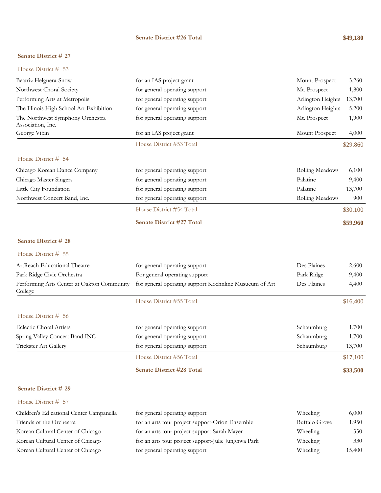### **Senate District #26 Total \$49,180**

### **Senate District # 27**

| House District # |  | 53 |
|------------------|--|----|
|                  |  |    |

| Beatriz Helguera-Snow                                 | for an IAS project grant                               | Mount Prospect    | 3,260    |
|-------------------------------------------------------|--------------------------------------------------------|-------------------|----------|
| Northwest Choral Society                              | for general operating support                          | Mt. Prospect      | 1,800    |
| Performing Arts at Metropolis                         | for general operating support                          | Arlington Heights | 13,700   |
| The Illinois High School Art Exhibition               | for general operating support                          | Arlington Heights | 5,200    |
| The Northwest Symphony Orchestra<br>Association, Inc. | for general operating support                          | Mt. Prospect      | 1,900    |
| George Vibin                                          | for an IAS project grant                               | Mount Prospect    | 4,000    |
|                                                       | House District #53 Total                               |                   | \$29,860 |
| House District # 54                                   |                                                        |                   |          |
| Chicago Korean Dance Company                          | for general operating support                          | Rolling Meadows   | 6,100    |
| Chicago Master Singers                                | for general operating support                          | Palatine          | 9,400    |
| Little City Foundation                                | for general operating support                          | Palatine          | 13,700   |
| Northwest Concert Band, Inc.                          | for general operating support                          | Rolling Meadows   | 900      |
|                                                       | House District #54 Total                               |                   | \$30,100 |
|                                                       | Senate District #27 Total                              |                   | \$59,960 |
| <b>Senate District # 28</b>                           |                                                        |                   |          |
| House District # 55                                   |                                                        |                   |          |
| ArtReach Educational Theatre                          | for general operating support                          | Des Plaines       | 2,600    |
| Park Ridge Civic Orchestra                            | For general operating support                          | Park Ridge        | 9,400    |
| Performing Arts Center at Oakton Community<br>College | for general operating support Koehnline Musueum of Art | Des Plaines       | 4,400    |
|                                                       | House District #55 Total                               |                   | \$16,400 |
| House District # 56                                   |                                                        |                   |          |
| <b>Eclectic Choral Artists</b>                        | for general operating support                          | Schaumburg        | 1,700    |
| Spring Valley Concert Band INC                        | for general operating support                          | Schaumburg        | 1,700    |
| Trickster Art Gallery                                 | for general operating support                          | Schaumburg        | 13,700   |
|                                                       | House District #56 Total                               |                   | \$17,100 |
|                                                       | <b>Senate District #28 Total</b>                       |                   | \$33,500 |
| Senate District # 29                                  |                                                        |                   |          |

| Children's Ed cational Center Campanella | for general operating support                       | Wheeling             | 6,000  |
|------------------------------------------|-----------------------------------------------------|----------------------|--------|
| Friends of the Orchestra                 | for an arts tour project support-Orion Ensemble     | <b>Buffalo Grove</b> | 1,950  |
| Korean Cultural Center of Chicago        | for an arts tour project support-Sarah Mayer        | Wheeling             | 330    |
| Korean Cultural Center of Chicago        | for an arts tour project support-Julie Junghwa Park | Wheeling             | 330    |
| Korean Cultural Center of Chicago        | for general operating support                       | Wheeling             | 15,400 |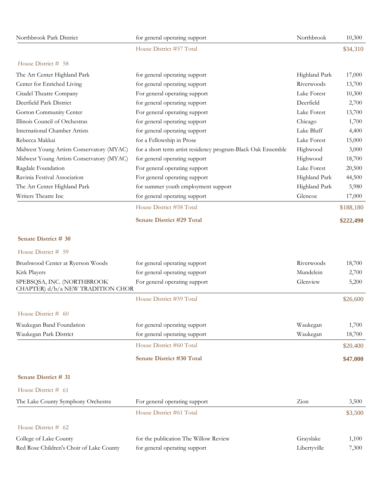| Northbrook Park District                                        | for general operating support                                | Northbrook    | 10,300    |
|-----------------------------------------------------------------|--------------------------------------------------------------|---------------|-----------|
|                                                                 | House District #57 Total                                     |               | \$34,310  |
| House District # 58                                             |                                                              |               |           |
| The Art Center Highland Park                                    | for general operating support                                | Highland Park | 17,000    |
| Center for Enriched Living                                      | for general operating support                                | Riverwoods    | 13,700    |
| Citadel Theatre Company                                         | For general operating support                                | Lake Forest   | 10,300    |
| Deerfield Park District                                         | for general operating support                                | Deerfield     | 2,700     |
| Gorton Community Center                                         | For general operating support                                | Lake Forest   | 13,700    |
| Illinois Council of Orchestras                                  | for general operating support                                | Chicago       | 1,700     |
| <b>International Chamber Artists</b>                            | for general operating support                                | Lake Bluff    | 4,400     |
| Rebecca Makkai                                                  | for a Fellowship in Prose                                    | Lake Forest   | 15,000    |
| Midwest Young Artists Conservatory (MYAC)                       | for a short term artist residency program-Black Oak Ensemble | Highwood      | 3,000     |
| Midwest Young Artists Conservatory (MYAC)                       | for general operating support                                | Highwood      | 18,700    |
| Ragdale Foundation                                              | For general operating support                                | Lake Forest   | 20,500    |
| Ravinia Festival Association                                    | For general operating support                                | Highland Park | 44,500    |
| The Art Center Highland Park                                    | for summer youth employment support                          | Highland Park | 5,980     |
| Writers Theatre Inc                                             | for general operating support                                | Glencoe       | 17,000    |
|                                                                 | House District #58 Total                                     |               | \$188,180 |
|                                                                 | <b>Senate District #29 Total</b>                             |               | \$222,490 |
| Senate District # 30                                            |                                                              |               |           |
| House District # 59                                             |                                                              |               |           |
| Brushwood Center at Ryerson Woods                               | for general operating support                                | Riverwoods    | 18,700    |
| Kirk Players                                                    | for general operating support                                | Mundelein     | 2,700     |
| SPEBSQSA, INC. (NORTHBROOK<br>CHAPTER) d/b/a NEW TRADITION CHOR | For general operating support                                | Glenview      | 5,200     |
|                                                                 | House District #59 Total                                     |               | \$26,600  |
| House District # 60                                             |                                                              |               |           |
| Waukegan Band Foundation                                        | for general operating support                                | Waukegan      | 1,700     |
| Waukegan Park District                                          | for general operating support                                | Waukegan      | 18,700    |
|                                                                 | House District #60 Total                                     |               | \$20,400  |
|                                                                 | <b>Senate District #30 Total</b>                             |               | \$47,000  |
| Senate District # 31                                            |                                                              |               |           |
| House District # 61                                             |                                                              |               |           |
| The Lake County Symphony Orchestra                              | For general operating support                                | Zion          | 3,500     |
|                                                                 | House District #61 Total                                     |               | \$3,500   |
| House District # 62                                             |                                                              |               |           |
| College of Lake County                                          | for the publication The Willow Review                        | Grayslake     | 1,100     |
| Red Rose Children's Choir of Lake County                        | for general operating support                                | Libertyville  | 7,300     |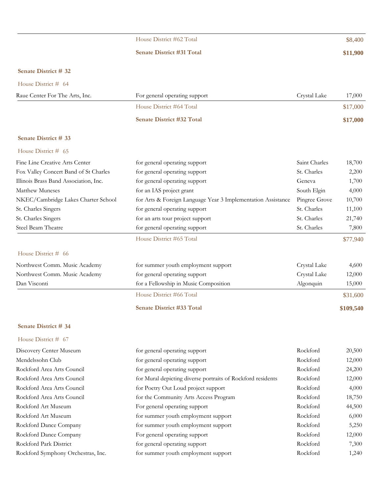# House District #62 Total \$8,400

### **Senate District #31 Total \$11,900**

### **Senate District # 32**

### House District # 64

| Raue Center For The Arts, Inc. | For general operating support    | Crystal Lake<br>17,000 |
|--------------------------------|----------------------------------|------------------------|
|                                | House District #64 Total         | \$17,000               |
|                                | <b>Senate District #32 Total</b> | \$17,000               |

# **Senate District # 33** House District # 65

| Fine Line Creative Arts Center        | for general operating support                                | Saint Charles | 18,700   |
|---------------------------------------|--------------------------------------------------------------|---------------|----------|
| Fox Valley Concert Band of St Charles | for general operating support                                | St. Charles   | 2,200    |
| Illinois Brass Band Association, Inc. | for general operating support                                | Geneva        | 1,700    |
| Matthew Muneses                       | for an IAS project grant                                     | South Elgin   | 4,000    |
| NKEC/Cambridge Lakes Charter School   | for Arts & Foreign Language Year 3 Implementation Assistance | Pingree Grove | 10,700   |
| St. Charles Singers                   | for general operating support                                | St. Charles   | 11,100   |
| St. Charles Singers                   | for an arts tour project support                             | St. Charles   | 21,740   |
| Steel Beam Theatre                    | for general operating support                                | St. Charles   | 7,800    |
|                                       | House District #65 Total                                     |               | \$77,940 |
| House District $#$ 66                 |                                                              |               |          |

| Northwest Comm. Music Academy | for summer youth employment support   | Crystal Lake | 4,600     |
|-------------------------------|---------------------------------------|--------------|-----------|
| Northwest Comm. Music Academy | for general operating support         | Crystal Lake | 12,000    |
| Dan Visconti                  | for a Fellowship in Music Composition | Algonquin    | 15,000    |
|                               | House District #66 Total              |              | \$31,600  |
|                               | <b>Senate District #33 Total</b>      |              | \$109,540 |

### **Senate District # 34**

| Discovery Center Museum            | for general operating support                               | Rockford | 20,500 |
|------------------------------------|-------------------------------------------------------------|----------|--------|
| Mendelssohn Club                   | for general operating support                               | Rockford | 12,000 |
| Rockford Area Arts Council         | for general operating support                               | Rockford | 24,200 |
| Rockford Area Arts Council         | for Mural depicting diverse portraits of Rockford residents | Rockford | 12,000 |
| Rockford Area Arts Council         | for Poetry Out Loud project support                         | Rockford | 4,000  |
| Rockford Area Arts Council         | for the Community Arts Access Program                       | Rockford | 18,750 |
| Rockford Art Museum                | For general operating support                               | Rockford | 44,500 |
| Rockford Art Museum                | for summer youth employment support                         | Rockford | 6,000  |
| Rockford Dance Company             | for summer youth employment support                         | Rockford | 5,250  |
| Rockford Dance Company             | For general operating support                               | Rockford | 12,000 |
| Rockford Park District             | for general operating support                               | Rockford | 7,300  |
| Rockford Symphony Orchestras, Inc. | for summer youth employment support                         | Rockford | 1,240  |
|                                    |                                                             |          |        |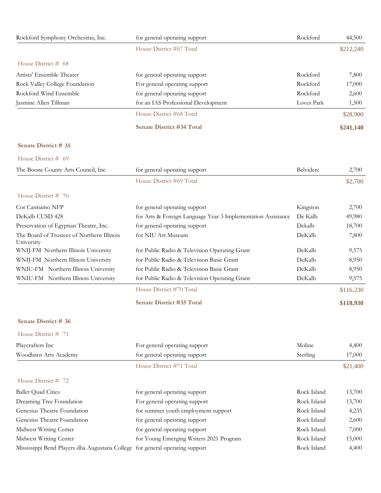| Rockford Symphony Orchestras, Inc.                                           | for general operating support                                | Rockford    | 44,500    |
|------------------------------------------------------------------------------|--------------------------------------------------------------|-------------|-----------|
|                                                                              | House District #67 Total                                     |             | \$212,240 |
| House District # 68                                                          |                                                              |             |           |
| Artists' Ensemble Theater                                                    | for general operating support                                | Rockford    | 7,800     |
| Rock Valley College Foundation                                               | For general operating support                                | Rockford    | 17,000    |
| Rockford Wind Ensemble                                                       | for general operating support                                | Rockford    | 2,600     |
| Jasmine Allen Tillman                                                        | for an IAS Professional Development                          | Loves Park  | 1,500     |
|                                                                              | House District #68 Total                                     |             | \$28,900  |
|                                                                              | <b>Senate District #34 Total</b>                             |             | \$241,140 |
| Senate District # 35                                                         |                                                              |             |           |
| House District # 69                                                          |                                                              |             |           |
| The Boone County Arts Council, Inc                                           | for general operating support                                | Belvidere   | 2,700     |
|                                                                              | House District #69 Total                                     |             | \$2,700   |
| House District # 70                                                          |                                                              |             |           |
| Cor Cantiamo NFP                                                             | for general operating support                                | Kingston    | 2,700     |
| DeKalb CUSD 428                                                              | for Arts & Foreign Language Year 3 Implementation Assistance | De Kalb     | 49,980    |
| Preservation of Egyptian Theatre, Inc.                                       | for general operating support                                | Dekalb      | 18,700    |
| The Board of Trustees of Northern Illinois<br>University                     | for NIU Art Museum                                           | DeKalb      | 7,800     |
| WNIJ-FM Northern Illinois University                                         | for Public Radio & Television Operating Grant                | DeKalb      | 9,575     |
| WNIJ-FM Northern Illinois University                                         | for Public Radio & Television Basic Grant                    | DeKalb      | 8,950     |
| WNIU-FM Northern Illinois University                                         | for Public Radio & Television Basic Grant                    | DeKalb      | 8,950     |
| WNIU-FM Northern Illinois University                                         | for Public Radio & Television Operating Grant                | DeKalb      | 9,575     |
|                                                                              | House District #70 Total                                     |             | \$116,230 |
|                                                                              | <b>Senate District #35 Total</b>                             |             | \$118,930 |
| Senate District # 36                                                         |                                                              |             |           |
| House District # 71                                                          |                                                              |             |           |
| Playcrafters Inc                                                             | For general operating support                                | Moline      | 4,400     |
| Woodlawn Arts Academy                                                        | for general operating support                                | Sterling    | 17,000    |
|                                                                              | House District #71 Total                                     |             | \$21,400  |
| House District # 72                                                          |                                                              |             |           |
| <b>Ballet Quad Cities</b>                                                    | for general operating support                                | Rock Island | 13,700    |
| Dreaming Tree Foundation                                                     | For general operating support                                | Rock Island | 13,700    |
| Genesius Theatre Foundation                                                  | for summer youth employment support                          | Rock Island | 4,235     |
| Genesius Theatre Foundation                                                  | for general operating support                                | Rock Island | 2,600     |
| Midwest Writing Center                                                       | for general operating support                                | Rock Island | 7,000     |
| Midwest Writing Center                                                       | for Young Emerging Writers 2021 Program                      | Rock Island | 15,000    |
| Mississippi Bend Players dba Augustana College for general operating support |                                                              | Rock Island | 4,400     |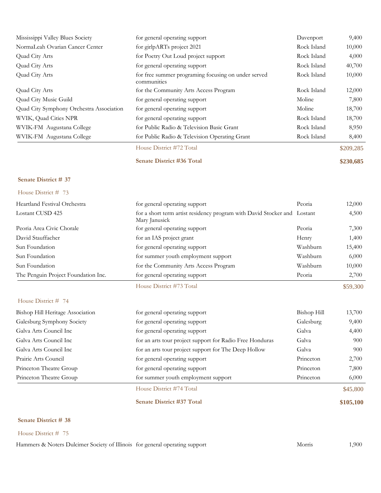| Mississippi Valley Blues Society         | for general operating support                                      | Davenport   | 9,400     |
|------------------------------------------|--------------------------------------------------------------------|-------------|-----------|
| NormaLeah Ovarian Cancer Center          | for girlpARTs project 2021                                         | Rock Island | 10,000    |
| Quad City Arts                           | for Poetry Out Loud project support                                | Rock Island | 4,000     |
| Quad City Arts                           | for general operating support                                      | Rock Island | 40,700    |
| Quad City Arts                           | for free summer programing focusing on under served<br>communities | Rock Island | 10,000    |
| Quad City Arts                           | for the Community Arts Access Program                              | Rock Island | 12,000    |
| Quad City Music Guild                    | for general operating support                                      | Moline      | 7,800     |
| Quad City Symphony Orchestra Association | for general operating support                                      | Moline      | 18,700    |
| WVIK, Quad Cities NPR                    | for general operating support                                      | Rock Island | 18,700    |
| WVIK-FM Augustana College                | for Public Radio & Television Basic Grant                          | Rock Island | 8,950     |
| WVIK-FM Augustana College                | for Public Radio & Television Operating Grant                      | Rock Island | 8,400     |
|                                          | House District #72 Total                                           |             | \$209,285 |
|                                          | <b>Senate District #36 Total</b>                                   |             | \$230,685 |

House District # 73

| for summer youth employment support<br>for the Community Arts Access Program<br>for general operating support | Washburn<br>Peoria | 10,000<br>2,700                                                                      |
|---------------------------------------------------------------------------------------------------------------|--------------------|--------------------------------------------------------------------------------------|
|                                                                                                               |                    |                                                                                      |
|                                                                                                               |                    |                                                                                      |
|                                                                                                               |                    | 6,000                                                                                |
| for general operating support                                                                                 | Washburn           | 15,400                                                                               |
| for an IAS project grant                                                                                      | Henry              | 1,400                                                                                |
| for general operating support                                                                                 | Peoria             | 7,300                                                                                |
| Mary Janusick                                                                                                 |                    | 4,500                                                                                |
| for general operating support                                                                                 | Peoria             | 12,000                                                                               |
|                                                                                                               |                    | for a short term artist residency program with David Stocker and Lostant<br>Washburn |

### House District # 74

| Bishop Hill Heritage Association | for general operating support                            | Bishop Hill | 13,700   |
|----------------------------------|----------------------------------------------------------|-------------|----------|
| Galesburg Symphony Society       | for general operating support                            | Galesburg   | 9,400    |
| Galva Arts Council Inc           | for general operating support                            | Galva       | 4,400    |
| Galva Arts Council Inc           | for an arts tour project support for Radio Free Honduras | Galva       | 900      |
| Galva Arts Council Inc           | for an arts tour project support for The Deep Hollow     | Galva       | 900      |
| Prairie Arts Council             | for general operating support                            | Princeton   | 2,700    |
| Princeton Theatre Group          | for general operating support                            | Princeton   | 7,800    |
| Princeton Theatre Group          | for summer youth employment support                      | Princeton   | 6,000    |
|                                  | House District #74 Total                                 |             | \$45,800 |

# **Senate District #37 Total \$105,100**

# **Senate District # 38**

House District # 75

Hammers & Noters Dulcimer Society of Illinois for general operating support Morris 1,900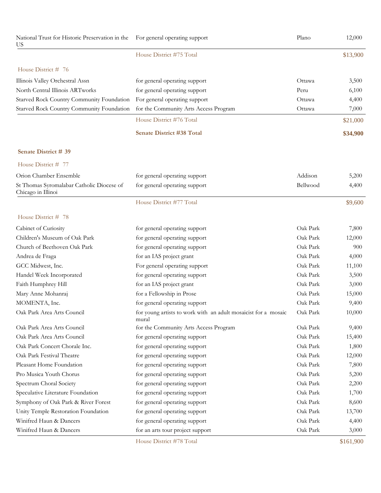| National Trust for Historic Preservation in the<br>US           | For general operating support                                           | Plano    | 12,000    |
|-----------------------------------------------------------------|-------------------------------------------------------------------------|----------|-----------|
|                                                                 | House District #75 Total                                                |          | \$13,900  |
| House District # 76                                             |                                                                         |          |           |
| Illinois Valley Orchestral Assn                                 | for general operating support                                           | Ottawa   | 3,500     |
| North Central Illinois ARTworks                                 | for general operating support                                           | Peru     | 6,100     |
| Starved Rock Country Community Foundation                       | For general operating support                                           | Ottawa   | 4,400     |
| Starved Rock Country Community Foundation                       | for the Community Arts Access Program                                   | Ottawa   | 7,000     |
|                                                                 | House District #76 Total                                                |          | \$21,000  |
|                                                                 | <b>Senate District #38 Total</b>                                        |          | \$34,900  |
| Senate District # 39                                            |                                                                         |          |           |
| House District # 77                                             |                                                                         |          |           |
| Orion Chamber Ensemble                                          | for general operating support                                           | Addison  | 5,200     |
| St Thomas Syromalabar Catholic Diocese of<br>Chicago in Illinoi | for general operating support                                           | Bellwood | 4,400     |
|                                                                 | House District #77 Total                                                |          | \$9,600   |
| House District # 78                                             |                                                                         |          |           |
| Cabinet of Curiosity                                            | for general operating support                                           | Oak Park | 7,800     |
| Children's Museum of Oak Park                                   | for general operating support                                           | Oak Park | 12,000    |
| Church of Beethoven Oak Park                                    | for general operating support                                           | Oak Park | 900       |
| Andrea de Fraga                                                 | for an IAS project grant                                                | Oak Park | 4,000     |
| GCC Midwest, Inc.                                               | For general operating support                                           | Oak Park | 11,100    |
| Handel Week Incorporated                                        | for general operating support                                           | Oak Park | 3,500     |
| Faith Humphrey Hill                                             | for an IAS project grant                                                | Oak Park | 3,000     |
| Mary Anne Mohanraj                                              | for a Fellowship in Prose                                               | Oak Park | 15,000    |
| MOMENTA, Inc.                                                   | for general operating support                                           | Oak Park | 9,400     |
| Oak Park Area Arts Council                                      | for young artists to work with an adult mosaicist for a mosaic<br>mural | Oak Park | 10,000    |
| Oak Park Area Arts Council                                      | for the Community Arts Access Program                                   | Oak Park | 9,400     |
| Oak Park Area Arts Council                                      | for general operating support                                           | Oak Park | 15,400    |
| Oak Park Concert Chorale Inc.                                   | for general operating support                                           | Oak Park | 1,800     |
| Oak Park Festival Theatre                                       | for general operating support                                           | Oak Park | 12,000    |
| Pleasant Home Foundation                                        | for general operating support                                           | Oak Park | 7,800     |
| Pro Musica Youth Chorus                                         | for general operating support                                           | Oak Park | 5,200     |
| Spectrum Choral Society                                         | for general operating support                                           | Oak Park | 2,200     |
| Speculative Literature Foundation                               | for general operating support                                           | Oak Park | 1,700     |
| Symphony of Oak Park & River Forest                             | for general operating support                                           | Oak Park | 8,600     |
| Unity Temple Restoration Foundation                             | for general operating support                                           | Oak Park | 13,700    |
| Winifred Haun & Dancers                                         | for general operating support                                           | Oak Park | 4,400     |
| Winifred Haun & Dancers                                         | for an arts tour project support                                        | Oak Park | 3,000     |
|                                                                 | House District #78 Total                                                |          | \$161,900 |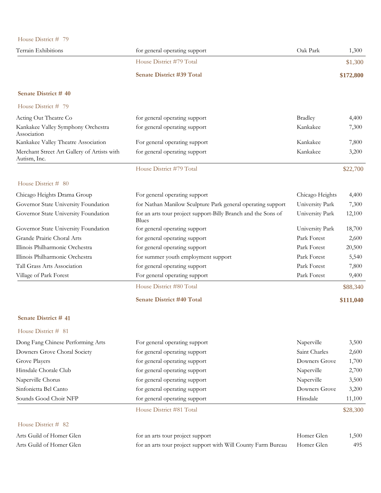| House District # 79                                         |                                                                        |                 |           |
|-------------------------------------------------------------|------------------------------------------------------------------------|-----------------|-----------|
| Terrain Exhibitions                                         | for general operating support                                          | Oak Park        | 1,300     |
|                                                             | House District #79 Total                                               |                 | \$1,300   |
|                                                             | <b>Senate District #39 Total</b>                                       |                 | \$172,800 |
| Senate District #40                                         |                                                                        |                 |           |
| House District # 79                                         |                                                                        |                 |           |
| Acting Out Theatre Co                                       | for general operating support                                          | <b>Bradley</b>  | 4,400     |
| Kankakee Valley Symphony Orchestra<br>Association           | for general operating support                                          | Kankakee        | 7,300     |
| Kankakee Valley Theatre Association                         | For general operating support                                          | Kankakee        | 7,800     |
| Merchant Street Art Gallery of Artists with<br>Autism, Inc. | for general operating support                                          | Kankakee        | 3,200     |
|                                                             | House District #79 Total                                               |                 | \$22,700  |
| House District # 80                                         |                                                                        |                 |           |
| Chicago Heights Drama Group                                 | For general operating support                                          | Chicago Heights | 4,400     |
| Governor State University Foundation                        | for Nathan Manilow Sculpture Park general operating support            | University Park | 7,300     |
| Governor State University Foundation                        | for an arts tour project support-Billy Branch and the Sons of<br>Blues | University Park | 12,100    |
| Governor State University Foundation                        | for general operating support                                          | University Park | 18,700    |
| Grande Prairie Choral Arts                                  | for general operating support                                          | Park Forest     | 2,600     |
| Illinois Philharmonic Orchestra                             | for general operating support                                          | Park Forest     | 20,500    |
| Illinois Philharmonic Orchestra                             | for summer youth employment support                                    | Park Forest     | 5,540     |
| Tall Grass Arts Association                                 | for general operating support                                          | Park Forest     | 7,800     |
| Village of Park Forest                                      | For general operating support                                          | Park Forest     | 9,400     |
|                                                             | House District #80 Total                                               |                 | \$88,340  |
|                                                             | <b>Senate District #40 Total</b>                                       |                 | \$111,040 |
| Senate District # 41                                        |                                                                        |                 |           |
| House District # 81                                         |                                                                        |                 |           |
| Dong Fang Chinese Performing Arts                           | For general operating support                                          | Naperville      | 3,500     |
| Downers Grove Choral Society                                | for general operating support                                          | Saint Charles   | 2,600     |
| Grove Players                                               | for general operating support                                          | Downers Grove   | 1,700     |
| Hinsdale Chorale Club                                       | for general operating support                                          | Naperville      | 2,700     |
| Naperville Chorus                                           | for general operating support                                          | Naperville      | 3,500     |
| Sinfonietta Bel Canto                                       | for general operating support                                          | Downers Grove   | 3,200     |
| Sounds Good Choir NFP                                       | for general operating support                                          | Hinsdale        | 11,100    |
|                                                             | House District #81 Total                                               |                 | \$28,300  |
| House District # 82                                         |                                                                        |                 |           |
| Arts Guild of Homer Glen                                    | for an arts tour project support                                       | Homer Glen      | 1,500     |
| Arts Guild of Homer Glen                                    | for an arts tour project support with Will County Farm Bureau          | Homer Glen      | 495       |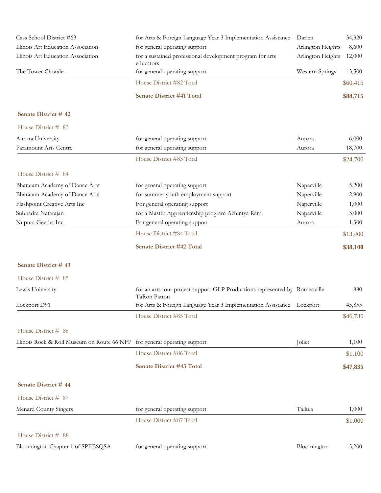| Cass School District #63                                                  | for Arts & Foreign Language Year 3 Implementation Assistance                               | Darien            | 34,320   |
|---------------------------------------------------------------------------|--------------------------------------------------------------------------------------------|-------------------|----------|
| Illinois Art Education Association                                        | for general operating support                                                              | Arlington Heights | 8,600    |
| Illinois Art Education Association                                        | for a sustained professional development program for arts<br>educators                     | Arlington Heights | 12,000   |
| The Tower Chorale                                                         | for general operating support                                                              | Western Springs   | 3,500    |
|                                                                           | House District #82 Total                                                                   |                   | \$60,415 |
|                                                                           | <b>Senate District #41 Total</b>                                                           |                   | \$88,715 |
| Senate District #42                                                       |                                                                                            |                   |          |
| House District # 83                                                       |                                                                                            |                   |          |
| Aurora University                                                         | for general operating support                                                              | Aurora            | 6,000    |
| Paramount Arts Centre                                                     | for general operating support                                                              | Aurora            | 18,700   |
|                                                                           | House District #83 Total                                                                   |                   | \$24,700 |
| House District # 84                                                       |                                                                                            |                   |          |
| Bharatam Academy of Dance Arts                                            | for general operating support                                                              | Naperville        | 5,200    |
| Bharatam Academy of Dance Arts                                            | for summer youth employment support                                                        | Naperville        | 2,900    |
| Flashpoint Creative Arts Inc                                              | For general operating support                                                              | Naperville        | 1,000    |
| Subhadra Natarajan                                                        | for a Master Apprenticeship program Achintya Ram                                           | Naperville        | 3,000    |
| Nupura Geetha Inc.                                                        | For general operating support                                                              | Aurora            | 1,300    |
|                                                                           | House District #84 Total                                                                   |                   | \$13,400 |
|                                                                           | Senate District #42 Total                                                                  |                   | \$38,100 |
| Senate District #43                                                       |                                                                                            |                   |          |
| House District # 85                                                       |                                                                                            |                   |          |
| Lewis University                                                          | for an arts tour project support-GLP Productions represented by Romeoville<br>TaRon Patton |                   | 880      |
| Lockport D91                                                              | for Arts & Foreign Language Year 3 Implementation Assistance Lockport                      |                   | 45,855   |
|                                                                           | House District #85 Total                                                                   |                   | \$46,735 |
| House District # 86                                                       |                                                                                            |                   |          |
| Illinois Rock & Roll Museum on Route 66 NFP for general operating support |                                                                                            | Joliet            | 1,100    |
|                                                                           | House District #86 Total                                                                   |                   | \$1,100  |
|                                                                           | Senate District #43 Total                                                                  |                   | \$47,835 |
| Senate District #44                                                       |                                                                                            |                   |          |
| House District # 87                                                       |                                                                                            |                   |          |
| <b>Menard County Singers</b>                                              | for general operating support                                                              | Tallula           | 1,000    |
|                                                                           | House District #87 Total                                                                   |                   | \$1,000  |
| House District # 88                                                       |                                                                                            |                   |          |
| Bloomington Chapter 1 of SPEBSQSA                                         | for general operating support                                                              | Bloomington       | 5,200    |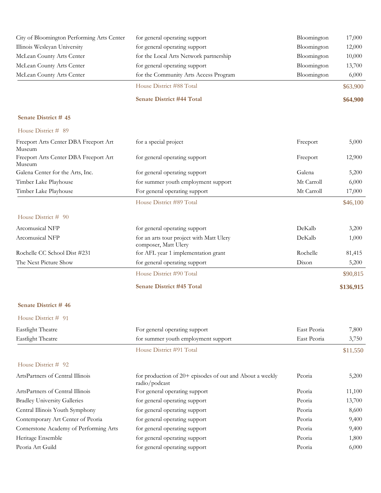| City of Bloomington Performing Arts Center      | for general operating support                                             | Bloomington | 17,000    |
|-------------------------------------------------|---------------------------------------------------------------------------|-------------|-----------|
| Illinois Wesleyan University                    | for general operating support                                             | Bloomington | 12,000    |
| McLean County Arts Center                       | for the Local Arts Network partnership                                    | Bloomington | 10,000    |
| McLean County Arts Center                       | for general operating support                                             | Bloomington | 13,700    |
| McLean County Arts Center                       | for the Community Arts Access Program                                     | Bloomington | 6,000     |
|                                                 | House District #88 Total                                                  |             | \$63,900  |
|                                                 | <b>Senate District #44 Total</b>                                          |             | \$64,900  |
| Senate District #45                             |                                                                           |             |           |
| House District # 89                             |                                                                           |             |           |
| Freeport Arts Center DBA Freeport Art<br>Museum | for a special project                                                     | Freeport    | 5,000     |
| Freeport Arts Center DBA Freeport Art<br>Museum | for general operating support                                             | Freeport    | 12,900    |
| Galena Center for the Arts, Inc.                | for general operating support                                             | Galena      | 5,200     |
| Timber Lake Playhouse                           | for summer youth employment support                                       | Mt Carroll  | 6,000     |
| Timber Lake Playhouse                           | For general operating support                                             | Mt Carroll  | 17,000    |
|                                                 | House District #89 Total                                                  |             | \$46,100  |
| House District # 90                             |                                                                           |             |           |
| Arcomusical NFP                                 | for general operating support                                             | DeKalb      | 3,200     |
| Arcomusical NFP                                 | for an arts tour project with Matt Ulery<br>composer, Matt Ulery          | DeKalb      | 1,000     |
| Rochelle CC School Dist #231                    | for AFL year 1 implementation grant                                       | Rochelle    | 81,415    |
| The Next Picture Show                           | for general operating support                                             | Dixon       | 5,200     |
|                                                 | House District #90 Total                                                  |             | \$90,815  |
|                                                 | Senate District #45 Total                                                 |             | \$136,915 |
| Senate District #46                             |                                                                           |             |           |
| House District # 91                             |                                                                           |             |           |
| Eastlight Theatre                               | For general operating support                                             | East Peoria | 7,800     |
| Eastlight Theatre                               | for summer youth employment support                                       | East Peoria | 3,750     |
|                                                 | House District #91 Total                                                  |             | \$11,550  |
| House District # 92                             |                                                                           |             |           |
| ArtsPartners of Central Illinois                | for production of 20+ episodes of out and About a weekly<br>radio/podcast | Peoria      | 5,200     |
| ArtsPartners of Central Illinois                | For general operating support                                             | Peoria      | 11,100    |
| <b>Bradley University Galleries</b>             | for general operating support                                             | Peoria      | 13,700    |
| Central Illinois Youth Symphony                 | for general operating support                                             | Peoria      | 8,600     |
| Contemporary Art Center of Peoria               | for general operating support                                             | Peoria      | 9,400     |
| Cornerstone Academy of Performing Arts          | for general operating support                                             | Peoria      | 9,400     |
| Heritage Ensemble                               | for general operating support                                             | Peoria      | 1,800     |
| Peoria Art Guild                                | for general operating support                                             | Peoria      | 6,000     |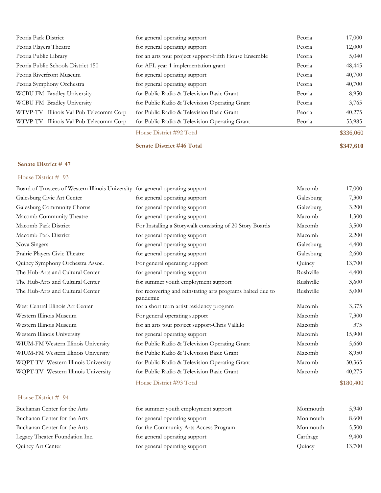| Peoria Park District                   | for general operating support                         | Peoria | 17,000    |
|----------------------------------------|-------------------------------------------------------|--------|-----------|
| Peoria Players Theatre                 | for general operating support                         | Peoria | 12,000    |
| Peoria Public Library                  | for an arts tour project support-Fifth House Ensemble | Peoria | 5,040     |
| Peoria Public Schools District 150     | for AFL year 1 implementation grant                   | Peoria | 48,445    |
| Peoria Riverfront Museum               | for general operating support                         | Peoria | 40,700    |
| Peoria Symphony Orchestra              | for general operating support                         | Peoria | 40,700    |
| WCBU FM Bradley University             | for Public Radio & Television Basic Grant             | Peoria | 8,950     |
| WCBU FM Bradley University             | for Public Radio & Television Operating Grant         | Peoria | 3,765     |
| WTVP-TV Illinois Val Pub Telecomm Corp | for Public Radio & Television Basic Grant             | Peoria | 40,275    |
| WTVP-TV Illinois Val Pub Telecomm Corp | for Public Radio & Television Operating Grant         | Peoria | 53,985    |
|                                        | House District #92 Total                              |        | \$336,060 |
|                                        | <b>Senate District #46 Total</b>                      |        | \$347,610 |

### House District # 93

| Board of Trustees of Western Illinois University for general operating support |                                                                        | Macomb    | 17,000 |
|--------------------------------------------------------------------------------|------------------------------------------------------------------------|-----------|--------|
| Galesburg Civic Art Center                                                     | for general operating support                                          | Galesburg | 7,300  |
| Galesburg Community Chorus                                                     | for general operating support                                          | Galesburg | 3,200  |
| Macomb Community Theatre                                                       | for general operating support                                          | Macomb    | 1,300  |
| Macomb Park District                                                           | For Installing a Storywalk consisting of 20 Story Boards               | Macomb    | 3,500  |
| Macomb Park District                                                           | for general operating support                                          | Macomb    | 2,200  |
| Nova Singers                                                                   | for general operating support                                          | Galesburg | 4,400  |
| Prairie Players Civic Theatre                                                  | for general operating support                                          | Galesburg | 2,600  |
| Quincy Symphony Orchestra Assoc.                                               | For general operating support                                          | Quincy    | 13,700 |
| The Hub-Arts and Cultural Center                                               | for general operating support                                          | Rushville | 4,400  |
| The Hub-Arts and Cultural Center                                               | for summer youth employment support                                    | Rushville | 3,600  |
| The Hub-Arts and Cultural Center                                               | for recovering and reinstating arts programs halted due to<br>pandemic | Rushville | 5,000  |
| West Central Illinois Art Center                                               | for a short term artist residency program                              | Macomb    | 3,375  |
| Western Illinois Museum                                                        | For general operating support                                          | Macomb    | 7,300  |
| Western Illinois Museum                                                        | for an arts tour project support-Chris Vallillo                        | Macomb    | 375    |
| Western Illinois University                                                    | for general operating support                                          | Macomb    | 15,900 |
| WIUM-FM Western Illinois University                                            | for Public Radio & Television Operating Grant                          | Macomb    | 5,660  |
| WIUM-FM Western Illinois University                                            | for Public Radio & Television Basic Grant                              | Macomb    | 8,950  |
| WQPT-TV Western Illinois University                                            | for Public Radio & Television Operating Grant                          | Macomb    | 30,365 |
| WQPT-TV Western Illinois University                                            | for Public Radio & Television Basic Grant                              | Macomb    | 40,275 |
|                                                                                |                                                                        |           |        |

### House District # 94

| Buchanan Center for the Arts   | for summer youth employment support   | Monmouth | 5,940  |
|--------------------------------|---------------------------------------|----------|--------|
| Buchanan Center for the Arts   | for general operating support         | Monmouth | 8,600  |
| Buchanan Center for the Arts   | for the Community Arts Access Program | Monmouth | 5,500  |
| Legacy Theater Foundation Inc. | for general operating support         | Carthage | 9,400  |
| Quincy Art Center              | for general operating support         | Quincy   | 13,700 |

House District #93 Total \$180,400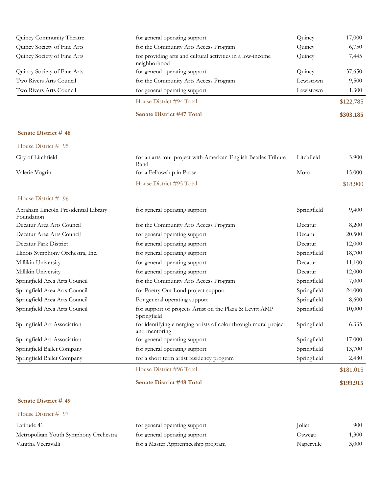| Quincy Community Theatre    | for general operating support                                              | Quincy    | 17,000    |
|-----------------------------|----------------------------------------------------------------------------|-----------|-----------|
| Quincy Society of Fine Arts | for the Community Arts Access Program                                      | Quincy    | 6,750     |
| Quincy Society of Fine Arts | for providing arts and cultural activities in a low-income<br>neighborhood | Quincy    | 7,445     |
| Quincy Society of Fine Arts | for general operating support                                              | Quincy    | 37,650    |
| Two Rivers Arts Council     | for the Community Arts Access Program                                      | Lewistown | 9,500     |
| Two Rivers Arts Council     | for general operating support                                              | Lewistown | 1,300     |
|                             | House District #94 Total                                                   |           | \$122,785 |
|                             | <b>Senate District #47 Total</b>                                           |           | \$303,185 |

| House District # 95                                |                                                                        |             |          |
|----------------------------------------------------|------------------------------------------------------------------------|-------------|----------|
| City of Litchfield                                 | for an arts tour project with American English Beatles Tribute<br>Band | Litchfield  | 3,900    |
| Valerie Vogrin                                     | for a Fellowship in Prose                                              | Moro        | 15,000   |
|                                                    | House District #95 Total                                               |             | \$18,900 |
| House District # 96                                |                                                                        |             |          |
| Abraham Lincoln Presidential Library<br>Foundation | for general operating support                                          | Springfield | 9,400    |
| Decatur Area Arts Council                          | for the Community Arts Access Program                                  | Decatur     | 8,200    |
| Decatur Area Arts Council                          | for general operating support                                          | Decatur     | 20,500   |
| Decatur Park District                              | for general operating support                                          | Decatur     | 12,000   |
| Illinois Symphony Orchestra, Inc.                  | for general operating support                                          | Springfield | 18,700   |
| Millikin University                                | for general operating support                                          | Decatur     | 11,100   |
| Millikin University                                | for general operating support                                          | Decatur     | 12,000   |
| Springfield Area Arts Council                      | for the Community Arts Access Program                                  | Springfield | 7,000    |
| Springfield Area Arts Council                      | for Poetry Out Loud project support                                    | Springfield | 24,000   |

Springfield Area Arts Council For general operating support Springfield 8,600 Springfield Area Arts Council for support of projects Artist on the Plaza & Levitt AMP Springfield 10,000

Springfield Art Association for identifying emerging artists of color through mural project Springfield 6,335

Springfield Art Association for general operating support Springfield 17,000 Springfield Ballet Company for general operating support Springfield 13,700 Springfield Ballet Company for a short term artist residency program Springfield 2,480

House District #96 Total \$181,015

**Senate District #48 Total \$199,915**

### **Senate District # 49**

|  |  | House District # 97 |  |  |
|--|--|---------------------|--|--|
|--|--|---------------------|--|--|

| Latitude 41                           | for general operating support       | <b>Joliet</b> | 900   |
|---------------------------------------|-------------------------------------|---------------|-------|
| Metropolitan Youth Symphony Orchestra | for general operating support       | Oswego        | 1,300 |
| Vanitha Veeravalli                    | for a Master Apprenticeship program | Naperville    | 3,000 |

Springfield

and mentoring

| Joliet     | 900   |
|------------|-------|
| Oswego     | 1,300 |
| Naperville | 3,000 |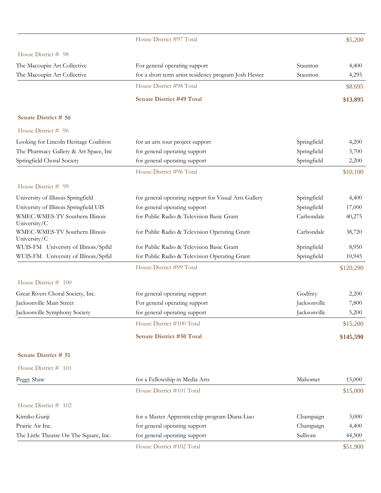# House District #97 Total \$5,200

# $Diethat # 08$

| House District $# 98$                          |                                                       |              |           |
|------------------------------------------------|-------------------------------------------------------|--------------|-----------|
| The Macoupin Art Collective                    | For general operating support                         | Staunton     | 4,400     |
| The Macoupin Art Collective                    | for a short term artist residency program Josh Hester | Staunton     | 4,295     |
|                                                | House District #98 Total                              |              | \$8,695   |
|                                                | <b>Senate District #49 Total</b>                      |              | \$13,895  |
| Senate District # 50                           |                                                       |              |           |
| House District # 96                            |                                                       |              |           |
| Looking for Lincoln Heritage Coalition         | for an arts tour project support                      | Springfield  | 4,200     |
| The Pharmacy Gallery & Art Space, Inc          | for general operating support                         | Springfield  | 3,700     |
| Springfield Choral Society                     | for general operating support                         | Springfield  | 2,200     |
|                                                | House District #96 Total                              |              | \$10,100  |
| House District # 99                            |                                                       |              |           |
| University of Illinois Springfield             | for general operating support for Visual Arts Gallery | Springfield  | 4,400     |
| University of Illinois Springfield UIS         | for general operating support                         | Springfield  | 17,000    |
| WMEC-WMES-TV Southern Illinois<br>University/C | for Public Radio & Television Basic Grant             | Carbondale   | 40,275    |
| WMEC-WMES-TV Southern Illinois<br>University/C | for Public Radio & Television Operating Grant         | Carbondale   | 38,720    |
| WUIS-FM University of Illinois/Spfld           | for Public Radio & Television Basic Grant             | Springfield  | 8,950     |
| WUIS-FM University of Illinois/Spfld           | for Public Radio & Television Operating Grant         | Springfield  | 10,945    |
|                                                | House District #99 Total                              |              | \$120,290 |
| House District # 100                           |                                                       |              |           |
| Great Rivers Choral Society, Inc.              | for general operating support                         | Godfrey      | 2,200     |
| Jacksonville Main Street                       | For general operating support                         | Jacksonville | 7,800     |
| Jacksonville Symphony Society                  | for general operating support                         | Jacksonville | 5,200     |
|                                                | House District #100 Total                             |              | \$15,200  |
|                                                | <b>Senate District #50 Total</b>                      |              | \$145,590 |
| Senate District # 51                           |                                                       |              |           |
| House District # 101                           |                                                       |              |           |
| Peggy Shaw                                     | for a Fellowship in Media Arts                        | Mahomet      | 15,000    |
|                                                | House District #101 Total                             |              | \$15,000  |
| House District # 102                           |                                                       |              |           |
| Kimiko Gunji                                   | for a Master Apprenticeship program Diana Liao        | Champaign    | 3,000     |
| Prairie Air Inc.                               | for general operating support                         | Champaign    | 4,400     |
| The Little Theatre On The Square, Inc.         | for general operating support                         | Sullivan     | 44,500    |
|                                                | House District #102 Total                             |              | \$51,900  |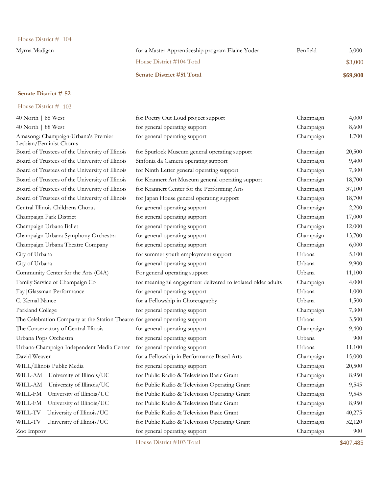| House District $# 104$ |  |
|------------------------|--|
|------------------------|--|

| Myrna Madigan | for a Master Apprenticeship program Elaine Yoder | Penfield | 3,000    |
|---------------|--------------------------------------------------|----------|----------|
|               | House District #104 Total                        |          | \$3,000  |
|               | <b>Senate District #51 Total</b>                 |          | \$69,900 |

# House District # 103

| 40 North   88 West                                                           | for Poetry Out Loud project support                          | Champaign | 4,000  |
|------------------------------------------------------------------------------|--------------------------------------------------------------|-----------|--------|
| 40 North   88 West                                                           | for general operating support                                | Champaign | 8,600  |
| Amasong: Champaign-Urbana's Premier<br>Lesbian/Feminist Chorus               | for general operating support                                | Champaign | 1,700  |
| Board of Trustees of the University of Illinois                              | for Spurlock Museum general operating support                | Champaign | 20,500 |
| Board of Trustees of the University of Illinois                              | Sinfonia da Camera operating support                         | Champaign | 9,400  |
| Board of Trustees of the University of Illinois                              | for Ninth Letter general operating support                   | Champaign | 7,300  |
| Board of Trustees of the University of Illinois                              | for Krannert Art Museum general operating support            | Champaign | 18,700 |
| Board of Trustees of the University of Illinois                              | for Krannert Center for the Performing Arts                  | Champaign | 37,100 |
| Board of Trustees of the University of Illinois                              | for Japan House general operating support                    | Champaign | 18,700 |
| Central Illinois Childrens Chorus                                            | for general operating support                                | Champaign | 2,200  |
| Champaign Park District                                                      | for general operating support                                | Champaign | 17,000 |
| Champaign Urbana Ballet                                                      | for general operating support                                | Champaign | 12,000 |
| Champaign Urbana Symphony Orchestra                                          | for general operating support                                | Champaign | 13,700 |
| Champaign Urbana Theatre Company                                             | for general operating support                                | Champaign | 6,000  |
| City of Urbana                                                               | for summer youth employment support                          | Urbana    | 5,100  |
| City of Urbana                                                               | for general operating support                                | Urbana    | 9,900  |
| Community Center for the Arts (C4A)                                          | For general operating support                                | Urbana    | 11,100 |
| Family Service of Champaign Co                                               | for meaningful engagement delivered to isolated older adults | Champaign | 4,000  |
| Fay   Glassman Performance                                                   | for general operating support                                | Urbana    | 1,000  |
| C. Kemal Nance                                                               | for a Fellowship in Choreography                             | Urbana    | 1,500  |
| Parkland College                                                             | for general operating support                                | Champaign | 7,300  |
| The Celebration Company at the Station Theatre for general operating support |                                                              | Urbana    | 3,500  |
| The Conservatory of Central Illinois                                         | for general operating support                                | Champaign | 9,400  |
| Urbana Pops Orchestra                                                        | for general operating support                                | Urbana    | 900    |
| Urbana-Champaign Independent Media Center                                    | for general operating support                                | Urbana    | 11,100 |
| David Weaver                                                                 | for a Fellowship in Performance Based Arts                   | Champaign | 15,000 |
| WILL/Illinois Public Media                                                   | for general operating support                                | Champaign | 20,500 |
| WILL-AM<br>University of Illinois/UC                                         | for Public Radio & Television Basic Grant                    | Champaign | 8,950  |
| University of Illinois/UC<br>WILL-AM                                         | for Public Radio & Television Operating Grant                | Champaign | 9,545  |
| University of Illinois/UC<br>WILL-FM                                         | for Public Radio & Television Operating Grant                | Champaign | 9,545  |
| University of Illinois/UC<br>WILL-FM                                         | for Public Radio & Television Basic Grant                    | Champaign | 8,950  |
| University of Illinois/UC<br>WILL-TV                                         | for Public Radio & Television Basic Grant                    | Champaign | 40,275 |
| WILL-TV<br>University of Illinois/UC                                         | for Public Radio & Television Operating Grant                | Champaign | 52,120 |
| Zoo Improv                                                                   | for general operating support                                | Champaign | 900    |
|                                                                              |                                                              |           |        |

House District #103 Total \$407,485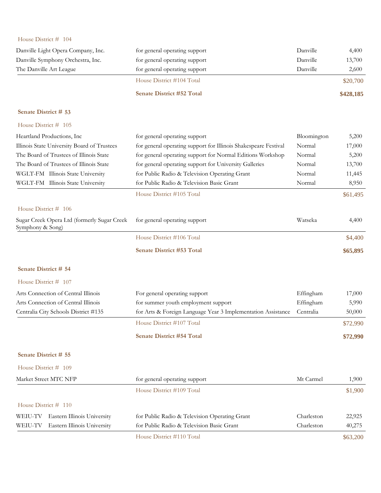| House District # 104                                            |                                                                 |             |           |
|-----------------------------------------------------------------|-----------------------------------------------------------------|-------------|-----------|
| Danville Light Opera Company, Inc.                              | for general operating support                                   | Danville    | 4,400     |
| Danville Symphony Orchestra, Inc.                               | for general operating support                                   | Danville    | 13,700    |
| The Danville Art League                                         | for general operating support                                   | Danville    | 2,600     |
|                                                                 | House District #104 Total                                       |             | \$20,700  |
|                                                                 | Senate District #52 Total                                       |             | \$428,185 |
| Senate District # 53                                            |                                                                 |             |           |
| House District # 105                                            |                                                                 |             |           |
| Heartland Productions, Inc.                                     | for general operating support                                   | Bloomington | 5,200     |
| Illinois State University Board of Trustees                     | for general operating support for Illinois Shakespeare Festival | Normal      | 17,000    |
| The Board of Trustees of Illinois State                         | for general operating support for Normal Editions Workshop      | Normal      | 5,200     |
| The Board of Trustees of Illinois State                         | for general operating support for University Galleries          | Normal      | 13,700    |
| WGLT-FM Illinois State University                               | for Public Radio & Television Operating Grant                   | Normal      | 11,445    |
| WGLT-FM Illinois State University                               | for Public Radio & Television Basic Grant                       | Normal      | 8,950     |
|                                                                 | House District #105 Total                                       |             | \$61,495  |
| House District # 106                                            |                                                                 |             |           |
| Sugar Creek Opera Ltd (formerly Sugar Creek<br>Symphony & Song) | for general operating support                                   | Watseka     | 4,400     |
|                                                                 | House District #106 Total                                       |             | \$4,400   |
|                                                                 | Senate District #53 Total                                       |             | \$65,895  |
| Senate District # 54                                            |                                                                 |             |           |
| House District # 107                                            |                                                                 |             |           |
| Arts Connection of Central Illinois                             | For general operating support                                   | Effingham   | 17,000    |
| Arts Connection of Central Illinois                             | for summer youth employment support                             | Effingham   | 5,990     |
| Centralia City Schools District #135                            | for Arts & Foreign Language Year 3 Implementation Assistance    | Centralia   | 50,000    |
|                                                                 | House District #107 Total                                       |             | \$72,990  |
|                                                                 | Senate District #54 Total                                       |             | \$72,990  |
| Senate District # 55                                            |                                                                 |             |           |
| House District # 109                                            |                                                                 |             |           |
| Market Street MTC NFP                                           | for general operating support                                   | Mt Carmel   | 1,900     |
|                                                                 | House District #109 Total                                       |             | \$1,900   |
| House District # 110                                            |                                                                 |             |           |
| Eastern Illinois University<br>WEIU-TV                          | for Public Radio & Television Operating Grant                   | Charleston  | 22,925    |
| Eastern Illinois University<br>WEIU-TV                          | for Public Radio & Television Basic Grant                       | Charleston  | 40,275    |
|                                                                 | House District #110 Total                                       |             | \$63,200  |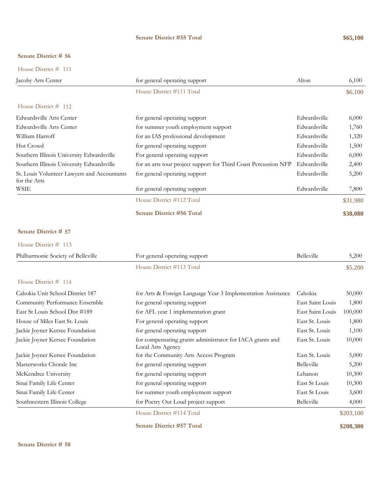### **Senate District #55 Total \$65,100**

# **Senate District # 56**

House District # 111

| Jacoby Arts Center                                          | for general operating support                                   | Alton        | 6,100    |
|-------------------------------------------------------------|-----------------------------------------------------------------|--------------|----------|
|                                                             | House District #111 Total                                       |              | \$6,100  |
| House District $#$ 112                                      |                                                                 |              |          |
| Edwardsville Arts Center                                    | for general operating support                                   | Edwardsville | 6,000    |
| Edwardsville Arts Center                                    | for summer youth employment support                             | Edwardsville | 1,760    |
| William Harroff                                             | for an IAS professional development                             | Edwardsville | 1,320    |
| Hot Crowd                                                   | for general operating support                                   | Edwardsville | 1,500    |
| Southern Illinois University Edwardsville                   | For general operating support                                   | Edwardsville | 6,000    |
| Southern Illinois University Edwardsville                   | for an arts tour project support for Third Coast Percussion NFP | Edwardsville | 2,400    |
| St. Louis Volunteer Lawyers and Accountants<br>for the Arts | for general operating support                                   | Edwardsville | 5,200    |
| WSIE                                                        | for general operating support                                   | Edwardsville | 7,800    |
|                                                             | House District #112 Total                                       |              | \$31,980 |
|                                                             | <b>Senate District #56 Total</b>                                |              | \$38,080 |

### **Senate District # 57**

| House District $#$ 113             |                               |            |         |
|------------------------------------|-------------------------------|------------|---------|
| Philharmonic Society of Belleville | For general operating support | Belleville | 5.200   |
|                                    | House District #113 Total     |            | \$5,200 |

| Cahokia Unit School District 187 | for Arts & Foreign Language Year 3 Implementation Assistance                   | Cahokia           | 50,000    |
|----------------------------------|--------------------------------------------------------------------------------|-------------------|-----------|
| Community Performance Ensemble   | for general operating support                                                  | East Saint Louis  | 1,800     |
| East St Louis School Dist #189   | for AFL year 1 implementation grant                                            | East Saint Louis  | 100,000   |
| House of Miles East St. Louis    | For general operating support                                                  | East St. Louis    | 1,800     |
| Jackie Joyner Kersee Foundation  | for general operating support                                                  | East St. Louis    | 1,100     |
| Jackie Joyner Kersee Foundation  | for compensating grants administrator for IACA grants and<br>Local Arts Agency | East St. Louis    | 10,000    |
| Jackie Joyner Kersee Foundation  | for the Community Arts Access Program                                          | East St. Louis    | 5,000     |
| Masterworks Chorale Inc          | for general operating support                                                  | <b>Belleville</b> | 5,200     |
| McKendree University             | for general operating support                                                  | Lebanon           | 10,300    |
| Sinai Family Life Center         | for general operating support                                                  | East St Louis     | 10,300    |
| Sinai Family Life Center         | for summer youth employment support                                            | East St Louis     | 3,600     |
| Southwestern Illinois College    | for Poetry Out Loud project support                                            | <b>Belleville</b> | 4,000     |
|                                  | House District #114 Total                                                      |                   | \$203,100 |
|                                  | <b>Senate District #57 Total</b>                                               |                   | \$208,300 |